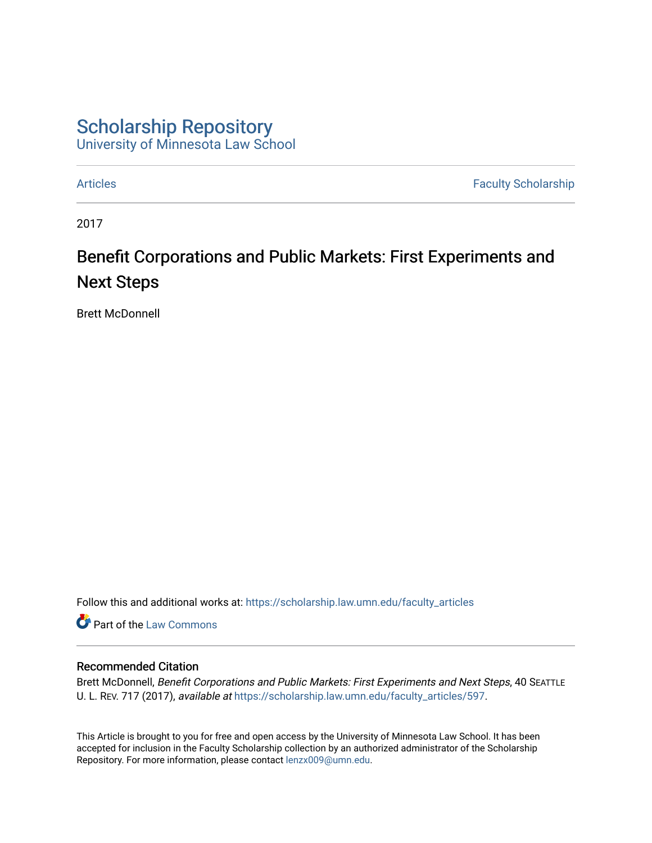# [Scholarship Repository](https://scholarship.law.umn.edu/?utm_source=scholarship.law.umn.edu%2Ffaculty_articles%2F597&utm_medium=PDF&utm_campaign=PDFCoverPages)

[University of Minnesota Law School](https://scholarship.law.umn.edu/?utm_source=scholarship.law.umn.edu%2Ffaculty_articles%2F597&utm_medium=PDF&utm_campaign=PDFCoverPages) 

[Articles](https://scholarship.law.umn.edu/faculty_articles?utm_source=scholarship.law.umn.edu%2Ffaculty_articles%2F597&utm_medium=PDF&utm_campaign=PDFCoverPages) **Faculty Scholarship** 

2017

# Benefit Corporations and Public Markets: First Experiments and Next Steps

Brett McDonnell

Follow this and additional works at: [https://scholarship.law.umn.edu/faculty\\_articles](https://scholarship.law.umn.edu/faculty_articles?utm_source=scholarship.law.umn.edu%2Ffaculty_articles%2F597&utm_medium=PDF&utm_campaign=PDFCoverPages)

**Part of the [Law Commons](http://network.bepress.com/hgg/discipline/578?utm_source=scholarship.law.umn.edu%2Ffaculty_articles%2F597&utm_medium=PDF&utm_campaign=PDFCoverPages)** 

## Recommended Citation

Brett McDonnell, Benefit Corporations and Public Markets: First Experiments and Next Steps, 40 SEATTLE U. L. REV. 717 (2017), available at [https://scholarship.law.umn.edu/faculty\\_articles/597](https://scholarship.law.umn.edu/faculty_articles/597?utm_source=scholarship.law.umn.edu%2Ffaculty_articles%2F597&utm_medium=PDF&utm_campaign=PDFCoverPages).

This Article is brought to you for free and open access by the University of Minnesota Law School. It has been accepted for inclusion in the Faculty Scholarship collection by an authorized administrator of the Scholarship Repository. For more information, please contact [lenzx009@umn.edu.](mailto:lenzx009@umn.edu)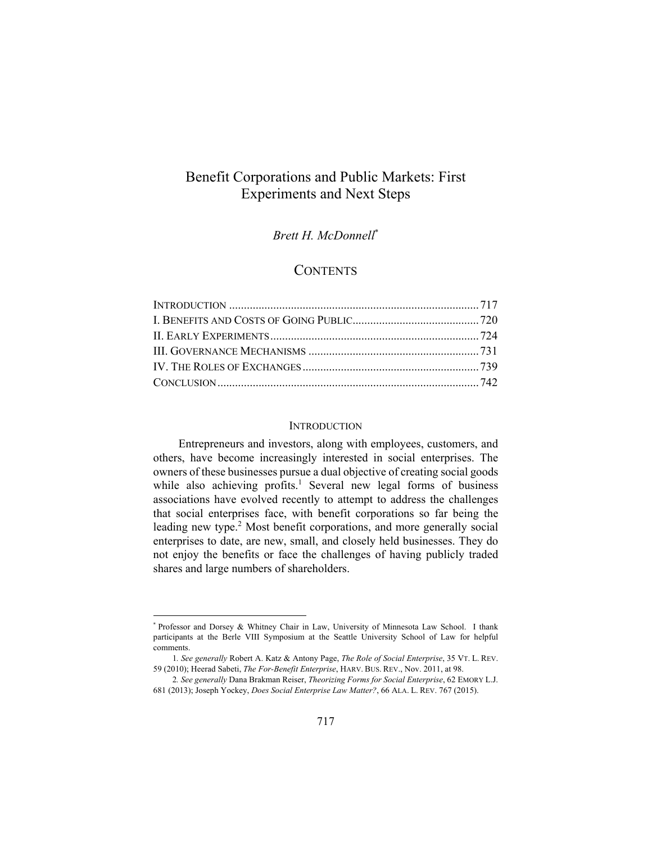# Benefit Corporations and Public Markets: First Experiments and Next Steps

### *Brett H. McDonnell*\*

# **CONTENTS**

#### **INTRODUCTION**

Entrepreneurs and investors, along with employees, customers, and others, have become increasingly interested in social enterprises. The owners of these businesses pursue a dual objective of creating social goods while also achieving profits.<sup>1</sup> Several new legal forms of business associations have evolved recently to attempt to address the challenges that social enterprises face, with benefit corporations so far being the leading new type.<sup>2</sup> Most benefit corporations, and more generally social enterprises to date, are new, small, and closely held businesses. They do not enjoy the benefits or face the challenges of having publicly traded shares and large numbers of shareholders.

<sup>\*</sup> Professor and Dorsey & Whitney Chair in Law, University of Minnesota Law School. I thank participants at the Berle VIII Symposium at the Seattle University School of Law for helpful comments.

<sup>1</sup>*. See generally* Robert A. Katz & Antony Page, *The Role of Social Enterprise*, 35 VT. L. REV. 59 (2010); Heerad Sabeti, *The For-Benefit Enterprise*, HARV. BUS. REV., Nov. 2011, at 98.

<sup>2</sup>*. See generally* Dana Brakman Reiser, *Theorizing Forms for Social Enterprise*, 62 EMORY L.J. 681 (2013); Joseph Yockey, *Does Social Enterprise Law Matter?*, 66 ALA. L. REV. 767 (2015).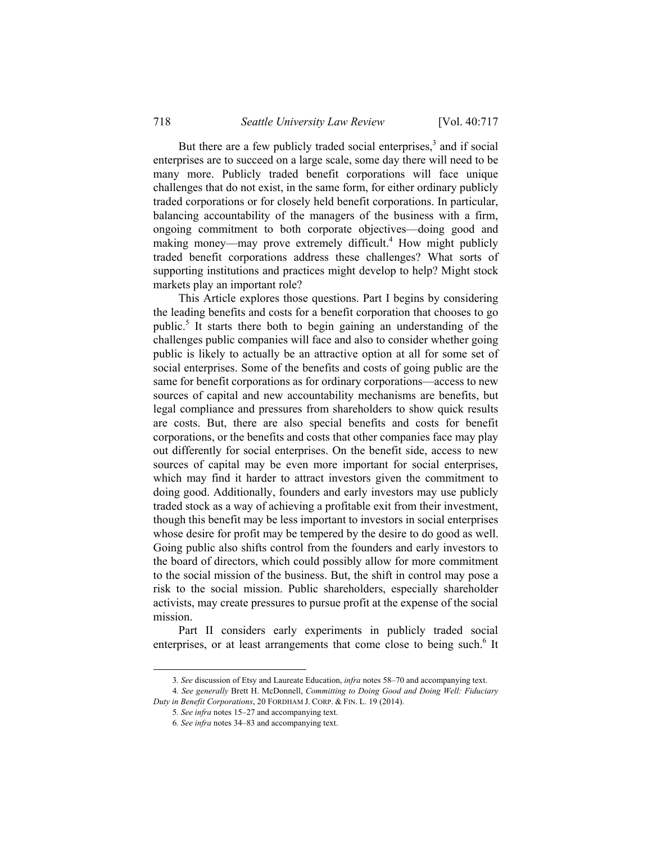But there are a few publicly traded social enterprises,<sup>3</sup> and if social enterprises are to succeed on a large scale, some day there will need to be many more. Publicly traded benefit corporations will face unique challenges that do not exist, in the same form, for either ordinary publicly traded corporations or for closely held benefit corporations. In particular, balancing accountability of the managers of the business with a firm, ongoing commitment to both corporate objectives—doing good and making money—may prove extremely difficult.<sup>4</sup> How might publicly traded benefit corporations address these challenges? What sorts of supporting institutions and practices might develop to help? Might stock markets play an important role?

This Article explores those questions. Part I begins by considering the leading benefits and costs for a benefit corporation that chooses to go public.<sup>5</sup> It starts there both to begin gaining an understanding of the challenges public companies will face and also to consider whether going public is likely to actually be an attractive option at all for some set of social enterprises. Some of the benefits and costs of going public are the same for benefit corporations as for ordinary corporations—access to new sources of capital and new accountability mechanisms are benefits, but legal compliance and pressures from shareholders to show quick results are costs. But, there are also special benefits and costs for benefit corporations, or the benefits and costs that other companies face may play out differently for social enterprises. On the benefit side, access to new sources of capital may be even more important for social enterprises, which may find it harder to attract investors given the commitment to doing good. Additionally, founders and early investors may use publicly traded stock as a way of achieving a profitable exit from their investment, though this benefit may be less important to investors in social enterprises whose desire for profit may be tempered by the desire to do good as well. Going public also shifts control from the founders and early investors to the board of directors, which could possibly allow for more commitment to the social mission of the business. But, the shift in control may pose a risk to the social mission. Public shareholders, especially shareholder activists, may create pressures to pursue profit at the expense of the social mission.

Part II considers early experiments in publicly traded social enterprises, or at least arrangements that come close to being such.<sup>6</sup> It

 <sup>3</sup>*. See* discussion of Etsy and Laureate Education, *infra* notes 58–70 and accompanying text.

<sup>4</sup>*. See generally* Brett H. McDonnell, *Committing to Doing Good and Doing Well: Fiduciary Duty in Benefit Corporations*, 20 FORDHAM J. CORP. & FIN. L. 19 (2014).

<sup>5</sup>*. See infra* notes 15–27 and accompanying text.

<sup>6</sup>*. See infra* notes 34–83 and accompanying text.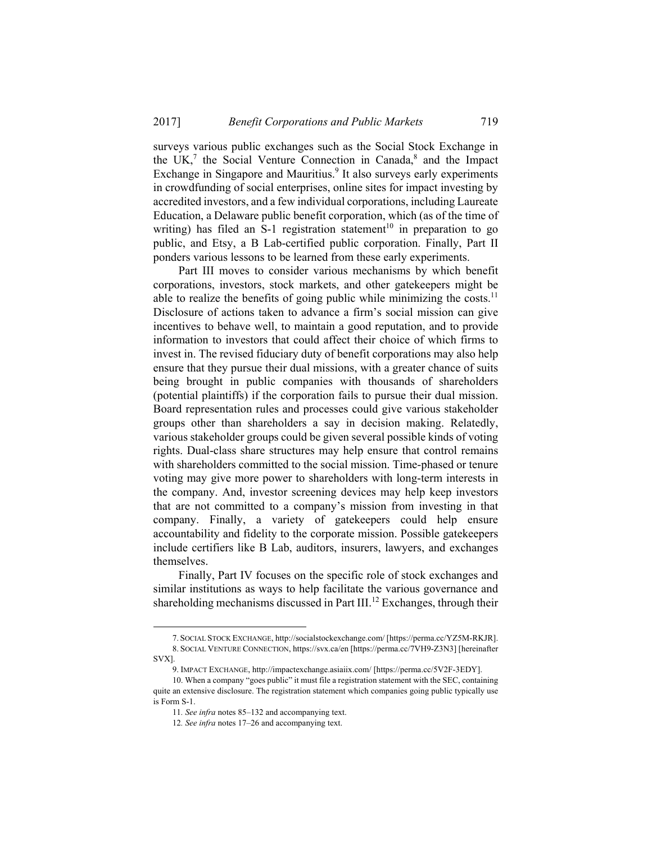surveys various public exchanges such as the Social Stock Exchange in the UK,<sup>7</sup> the Social Venture Connection in Canada,<sup>8</sup> and the Impact Exchange in Singapore and Mauritius.<sup>9</sup> It also surveys early experiments in crowdfunding of social enterprises, online sites for impact investing by accredited investors, and a few individual corporations, including Laureate Education, a Delaware public benefit corporation, which (as of the time of writing) has filed an S-1 registration statement<sup>10</sup> in preparation to go public, and Etsy, a B Lab-certified public corporation. Finally, Part II ponders various lessons to be learned from these early experiments.

Part III moves to consider various mechanisms by which benefit corporations, investors, stock markets, and other gatekeepers might be able to realize the benefits of going public while minimizing the costs.<sup>11</sup> Disclosure of actions taken to advance a firm's social mission can give incentives to behave well, to maintain a good reputation, and to provide information to investors that could affect their choice of which firms to invest in. The revised fiduciary duty of benefit corporations may also help ensure that they pursue their dual missions, with a greater chance of suits being brought in public companies with thousands of shareholders (potential plaintiffs) if the corporation fails to pursue their dual mission. Board representation rules and processes could give various stakeholder groups other than shareholders a say in decision making. Relatedly, various stakeholder groups could be given several possible kinds of voting rights. Dual-class share structures may help ensure that control remains with shareholders committed to the social mission. Time-phased or tenure voting may give more power to shareholders with long-term interests in the company. And, investor screening devices may help keep investors that are not committed to a company's mission from investing in that company. Finally, a variety of gatekeepers could help ensure accountability and fidelity to the corporate mission. Possible gatekeepers include certifiers like B Lab, auditors, insurers, lawyers, and exchanges themselves.

Finally, Part IV focuses on the specific role of stock exchanges and similar institutions as ways to help facilitate the various governance and shareholding mechanisms discussed in Part III.<sup>12</sup> Exchanges, through their

 <sup>7.</sup> SOCIAL STOCK EXCHANGE, http://socialstockexchange.com/ [https://perma.cc/YZ5M-RKJR]. 8. SOCIAL VENTURE CONNECTION, https://svx.ca/en [https://perma.cc/7VH9-Z3N3] [hereinafter SVX].

 <sup>9.</sup> IMPACT EXCHANGE, http://impactexchange.asiaiix.com/ [https://perma.cc/5V2F-3EDY].

 <sup>10.</sup> When a company "goes public" it must file a registration statement with the SEC, containing quite an extensive disclosure. The registration statement which companies going public typically use is Form S-1.

<sup>11</sup>*. See infra* notes 85–132 and accompanying text.

<sup>12</sup>*. See infra* notes 17–26 and accompanying text.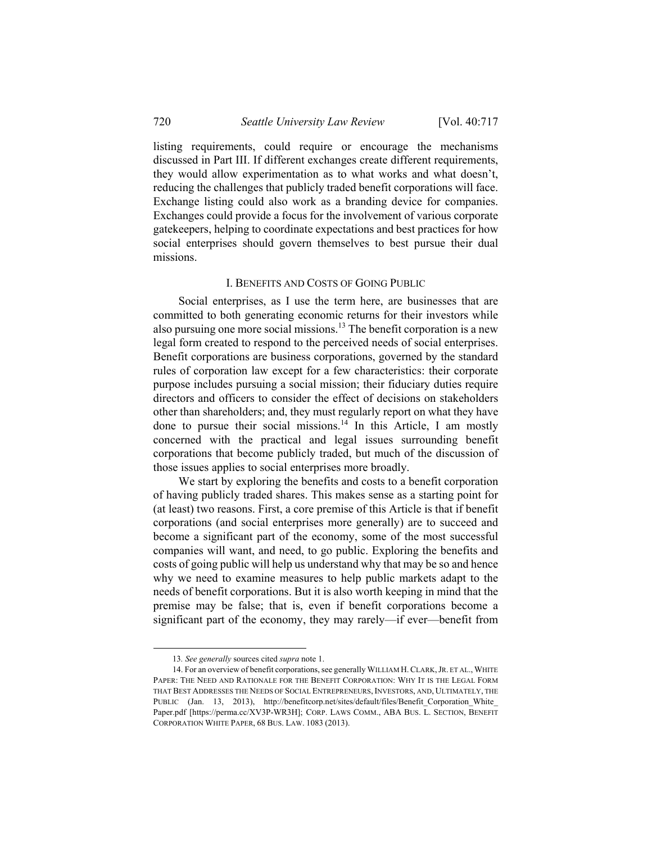listing requirements, could require or encourage the mechanisms discussed in Part III. If different exchanges create different requirements, they would allow experimentation as to what works and what doesn't, reducing the challenges that publicly traded benefit corporations will face. Exchange listing could also work as a branding device for companies. Exchanges could provide a focus for the involvement of various corporate gatekeepers, helping to coordinate expectations and best practices for how social enterprises should govern themselves to best pursue their dual missions.

#### I. BENEFITS AND COSTS OF GOING PUBLIC

Social enterprises, as I use the term here, are businesses that are committed to both generating economic returns for their investors while also pursuing one more social missions.<sup>13</sup> The benefit corporation is a new legal form created to respond to the perceived needs of social enterprises. Benefit corporations are business corporations, governed by the standard rules of corporation law except for a few characteristics: their corporate purpose includes pursuing a social mission; their fiduciary duties require directors and officers to consider the effect of decisions on stakeholders other than shareholders; and, they must regularly report on what they have done to pursue their social missions.<sup>14</sup> In this Article, I am mostly concerned with the practical and legal issues surrounding benefit corporations that become publicly traded, but much of the discussion of those issues applies to social enterprises more broadly.

We start by exploring the benefits and costs to a benefit corporation of having publicly traded shares. This makes sense as a starting point for (at least) two reasons. First, a core premise of this Article is that if benefit corporations (and social enterprises more generally) are to succeed and become a significant part of the economy, some of the most successful companies will want, and need, to go public. Exploring the benefits and costs of going public will help us understand why that may be so and hence why we need to examine measures to help public markets adapt to the needs of benefit corporations. But it is also worth keeping in mind that the premise may be false; that is, even if benefit corporations become a significant part of the economy, they may rarely—if ever—benefit from

 <sup>13</sup>*. See generally* sources cited *supra* note 1.

 <sup>14.</sup> For an overview of benefit corporations, see generally WILLIAM H.CLARK,JR. ET AL., WHITE PAPER: THE NEED AND RATIONALE FOR THE BENEFIT CORPORATION: WHY IT IS THE LEGAL FORM THAT BEST ADDRESSES THE NEEDS OF SOCIAL ENTREPRENEURS, INVESTORS, AND, ULTIMATELY, THE PUBLIC (Jan. 13, 2013), http://benefitcorp.net/sites/default/files/Benefit\_Corporation\_White\_ Paper.pdf [https://perma.cc/XV3P-WR3H]; CORP. LAWS COMM., ABA BUS. L. SECTION, BENEFIT CORPORATION WHITE PAPER, 68 BUS. LAW. 1083 (2013).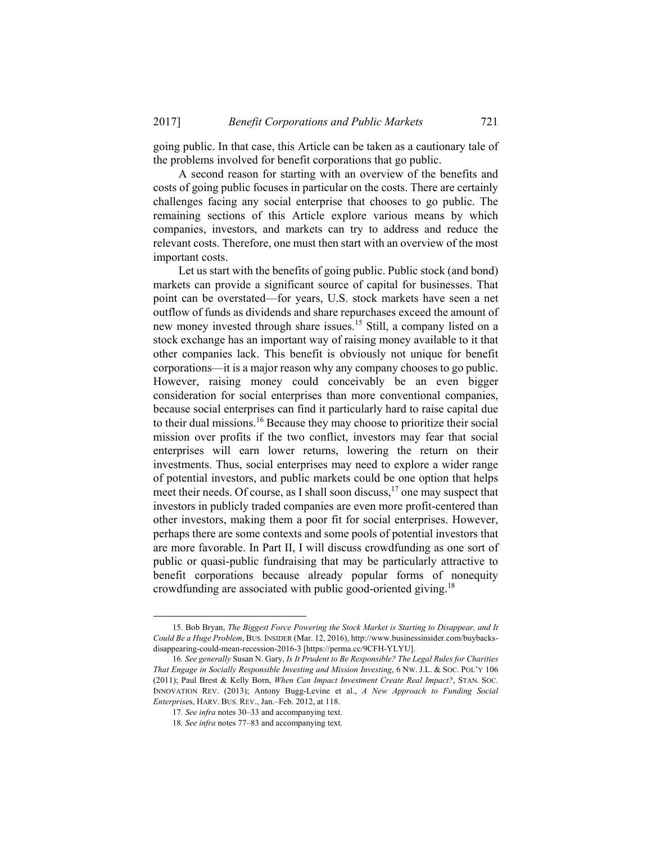going public. In that case, this Article can be taken as a cautionary tale of the problems involved for benefit corporations that go public.

A second reason for starting with an overview of the benefits and costs of going public focuses in particular on the costs. There are certainly challenges facing any social enterprise that chooses to go public. The remaining sections of this Article explore various means by which companies, investors, and markets can try to address and reduce the relevant costs. Therefore, one must then start with an overview of the most important costs.

Let us start with the benefits of going public. Public stock (and bond) markets can provide a significant source of capital for businesses. That point can be overstated—for years, U.S. stock markets have seen a net outflow of funds as dividends and share repurchases exceed the amount of new money invested through share issues.15 Still, a company listed on a stock exchange has an important way of raising money available to it that other companies lack. This benefit is obviously not unique for benefit corporations—it is a major reason why any company chooses to go public. However, raising money could conceivably be an even bigger consideration for social enterprises than more conventional companies, because social enterprises can find it particularly hard to raise capital due to their dual missions.16 Because they may choose to prioritize their social mission over profits if the two conflict, investors may fear that social enterprises will earn lower returns, lowering the return on their investments. Thus, social enterprises may need to explore a wider range of potential investors, and public markets could be one option that helps meet their needs. Of course, as I shall soon discuss,<sup>17</sup> one may suspect that investors in publicly traded companies are even more profit-centered than other investors, making them a poor fit for social enterprises. However, perhaps there are some contexts and some pools of potential investors that are more favorable. In Part II, I will discuss crowdfunding as one sort of public or quasi-public fundraising that may be particularly attractive to benefit corporations because already popular forms of nonequity crowdfunding are associated with public good-oriented giving.18

 <sup>15.</sup> Bob Bryan, *The Biggest Force Powering the Stock Market is Starting to Disappear, and It Could Be a Huge Problem*, BUS. INSIDER (Mar. 12, 2016), http://www.businessinsider.com/buybacksdisappearing-could-mean-recession-2016-3 [https://perma.cc/9CFH-YLYU].

<sup>16</sup>*. See generally* Susan N. Gary, *Is It Prudent to Be Responsible? The Legal Rules for Charities That Engage in Socially Responsible Investing and Mission Investing*, 6 NW. J.L. & SOC. POL'Y 106 (2011); Paul Brest & Kelly Born, *When Can Impact Investment Create Real Impact?*, STAN. SOC. INNOVATION REV. (2013); Antony Bugg-Levine et al., *A New Approach to Funding Social Enterprise*s, HARV. BUS. REV., Jan.–Feb. 2012, at 118.

<sup>17</sup>*. See infra* notes 30–33 and accompanying text.

<sup>18</sup>*. See infra* notes 77–83 and accompanying text.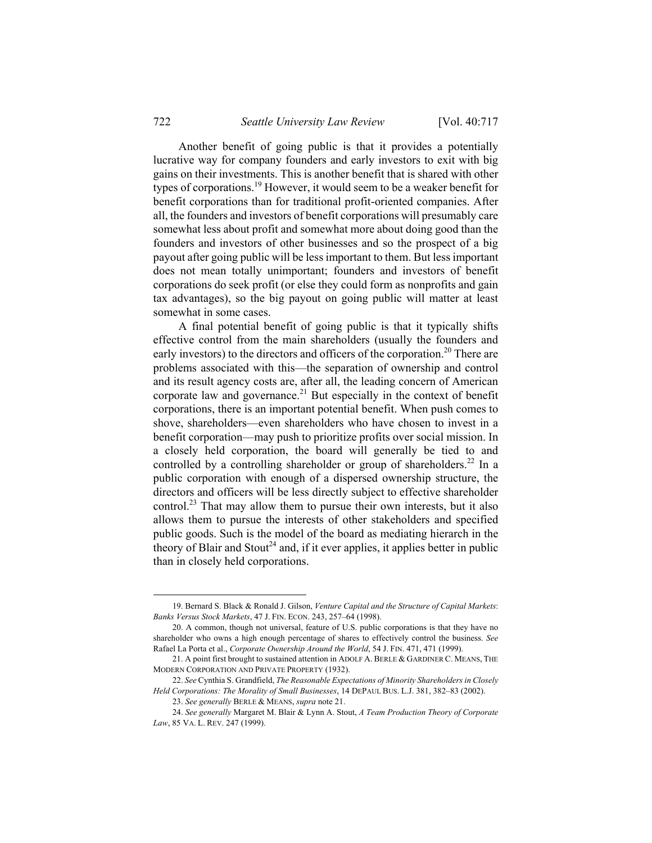Another benefit of going public is that it provides a potentially lucrative way for company founders and early investors to exit with big gains on their investments. This is another benefit that is shared with other types of corporations.19 However, it would seem to be a weaker benefit for benefit corporations than for traditional profit-oriented companies. After all, the founders and investors of benefit corporations will presumably care somewhat less about profit and somewhat more about doing good than the founders and investors of other businesses and so the prospect of a big payout after going public will be less important to them. But less important does not mean totally unimportant; founders and investors of benefit corporations do seek profit (or else they could form as nonprofits and gain tax advantages), so the big payout on going public will matter at least somewhat in some cases.

A final potential benefit of going public is that it typically shifts effective control from the main shareholders (usually the founders and early investors) to the directors and officers of the corporation.<sup>20</sup> There are problems associated with this—the separation of ownership and control and its result agency costs are, after all, the leading concern of American corporate law and governance.<sup>21</sup> But especially in the context of benefit corporations, there is an important potential benefit. When push comes to shove, shareholders—even shareholders who have chosen to invest in a benefit corporation—may push to prioritize profits over social mission. In a closely held corporation, the board will generally be tied to and controlled by a controlling shareholder or group of shareholders.<sup>22</sup> In a public corporation with enough of a dispersed ownership structure, the directors and officers will be less directly subject to effective shareholder control.23 That may allow them to pursue their own interests, but it also allows them to pursue the interests of other stakeholders and specified public goods. Such is the model of the board as mediating hierarch in the theory of Blair and Stout<sup>24</sup> and, if it ever applies, it applies better in public than in closely held corporations.

 <sup>19.</sup> Bernard S. Black & Ronald J. Gilson, *Venture Capital and the Structure of Capital Markets*: *Banks Versus Stock Markets*, 47 J. FIN. ECON. 243, 257–64 (1998).

 <sup>20.</sup> A common, though not universal, feature of U.S. public corporations is that they have no shareholder who owns a high enough percentage of shares to effectively control the business. *See* Rafael La Porta et al., *Corporate Ownership Around the World*, 54 J. FIN. 471, 471 (1999).

 <sup>21.</sup> A point first brought to sustained attention in ADOLF A. BERLE & GARDINER C. MEANS, THE MODERN CORPORATION AND PRIVATE PROPERTY (1932).

<sup>22.</sup> *See* Cynthia S. Grandfield, *The Reasonable Expectations of Minority Shareholders in Closely Held Corporations: The Morality of Small Businesses*, 14 DEPAUL BUS. L.J. 381, 382–83 (2002).

<sup>23.</sup> *See generally* BERLE & MEANS, *supra* note 21.

<sup>24.</sup> *See generally* Margaret M. Blair & Lynn A. Stout, *A Team Production Theory of Corporate Law*, 85 VA. L. REV. 247 (1999).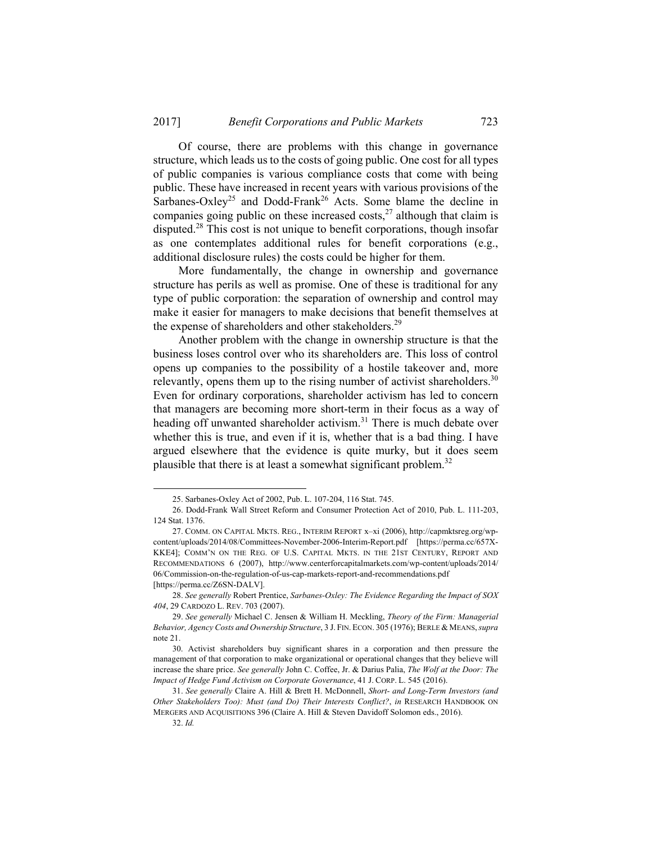Of course, there are problems with this change in governance structure, which leads us to the costs of going public. One cost for all types of public companies is various compliance costs that come with being public. These have increased in recent years with various provisions of the Sarbanes-Oxley<sup>25</sup> and Dodd-Frank<sup>26</sup> Acts. Some blame the decline in companies going public on these increased costs, $^{27}$  although that claim is disputed.28 This cost is not unique to benefit corporations, though insofar as one contemplates additional rules for benefit corporations (e.g., additional disclosure rules) the costs could be higher for them.

More fundamentally, the change in ownership and governance structure has perils as well as promise. One of these is traditional for any type of public corporation: the separation of ownership and control may make it easier for managers to make decisions that benefit themselves at the expense of shareholders and other stakeholders.<sup>29</sup>

Another problem with the change in ownership structure is that the business loses control over who its shareholders are. This loss of control opens up companies to the possibility of a hostile takeover and, more relevantly, opens them up to the rising number of activist shareholders.<sup>30</sup> Even for ordinary corporations, shareholder activism has led to concern that managers are becoming more short-term in their focus as a way of heading off unwanted shareholder activism.<sup>31</sup> There is much debate over whether this is true, and even if it is, whether that is a bad thing. I have argued elsewhere that the evidence is quite murky, but it does seem plausible that there is at least a somewhat significant problem.<sup>32</sup>

 <sup>25.</sup> Sarbanes-Oxley Act of 2002, Pub. L. 107-204, 116 Stat. 745.

 <sup>26.</sup> Dodd-Frank Wall Street Reform and Consumer Protection Act of 2010, Pub. L. 111-203, 124 Stat. 1376.

 <sup>27.</sup> COMM. ON CAPITAL MKTS. REG., INTERIM REPORT x–xi (2006), http://capmktsreg.org/wpcontent/uploads/2014/08/Committees-November-2006-Interim-Report.pdf [https://perma.cc/657X-KKE4]; COMM'N ON THE REG. OF U.S. CAPITAL MKTS. IN THE 21ST CENTURY, REPORT AND RECOMMENDATIONS 6 (2007), http://www.centerforcapitalmarkets.com/wp-content/uploads/2014/ 06/Commission-on-the-regulation-of-us-cap-markets-report-and-recommendations.pdf [https://perma.cc/Z6SN-DALV].

<sup>28.</sup> *See generally* Robert Prentice, *Sarbanes-Oxley: The Evidence Regarding the Impact of SOX 404*, 29 CARDOZO L. REV. 703 (2007).

<sup>29.</sup> *See generally* Michael C. Jensen & William H. Meckling, *Theory of the Firm: Managerial Behavior, Agency Costs and Ownership Structure*, 3 J. FIN. ECON. 305 (1976); BERLE & MEANS, *supra* note 21.

 <sup>30.</sup> Activist shareholders buy significant shares in a corporation and then pressure the management of that corporation to make organizational or operational changes that they believe will increase the share price. *See generally* John C. Coffee, Jr. & Darius Palia, *The Wolf at the Door: The Impact of Hedge Fund Activism on Corporate Governance*, 41 J. CORP. L. 545 (2016).

<sup>31.</sup> *See generally* Claire A. Hill & Brett H. McDonnell, *Short- and Long-Term Investors (and Other Stakeholders Too): Must (and Do) Their Interests Conflict?*, *in* RESEARCH HANDBOOK ON MERGERS AND ACQUISITIONS 396 (Claire A. Hill & Steven Davidoff Solomon eds., 2016).

<sup>32.</sup> *Id.*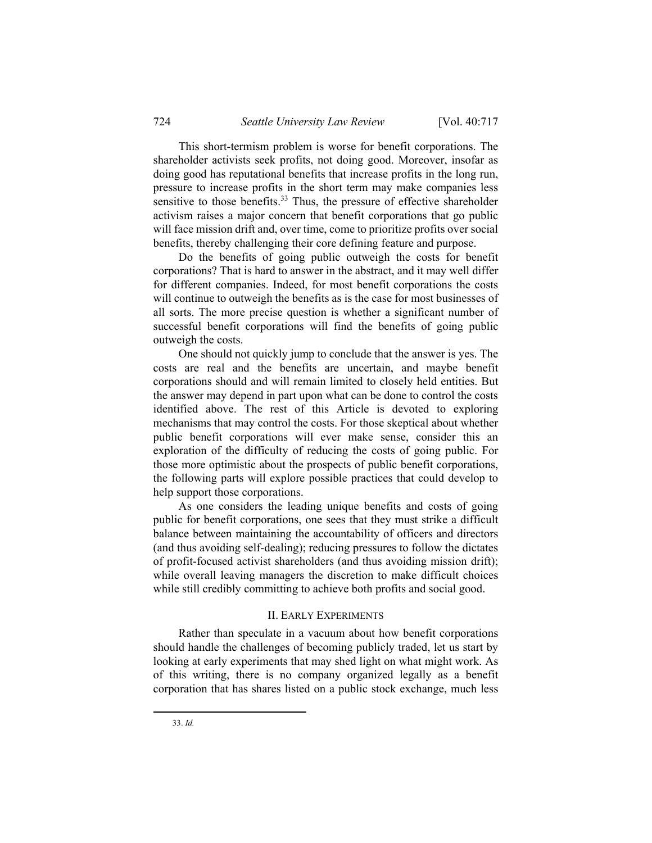This short-termism problem is worse for benefit corporations. The shareholder activists seek profits, not doing good. Moreover, insofar as doing good has reputational benefits that increase profits in the long run, pressure to increase profits in the short term may make companies less sensitive to those benefits. $33$  Thus, the pressure of effective shareholder activism raises a major concern that benefit corporations that go public will face mission drift and, over time, come to prioritize profits over social benefits, thereby challenging their core defining feature and purpose.

Do the benefits of going public outweigh the costs for benefit corporations? That is hard to answer in the abstract, and it may well differ for different companies. Indeed, for most benefit corporations the costs will continue to outweigh the benefits as is the case for most businesses of all sorts. The more precise question is whether a significant number of successful benefit corporations will find the benefits of going public outweigh the costs.

One should not quickly jump to conclude that the answer is yes. The costs are real and the benefits are uncertain, and maybe benefit corporations should and will remain limited to closely held entities. But the answer may depend in part upon what can be done to control the costs identified above. The rest of this Article is devoted to exploring mechanisms that may control the costs. For those skeptical about whether public benefit corporations will ever make sense, consider this an exploration of the difficulty of reducing the costs of going public. For those more optimistic about the prospects of public benefit corporations, the following parts will explore possible practices that could develop to help support those corporations.

As one considers the leading unique benefits and costs of going public for benefit corporations, one sees that they must strike a difficult balance between maintaining the accountability of officers and directors (and thus avoiding self-dealing); reducing pressures to follow the dictates of profit-focused activist shareholders (and thus avoiding mission drift); while overall leaving managers the discretion to make difficult choices while still credibly committing to achieve both profits and social good.

### II. EARLY EXPERIMENTS

Rather than speculate in a vacuum about how benefit corporations should handle the challenges of becoming publicly traded, let us start by looking at early experiments that may shed light on what might work. As of this writing, there is no company organized legally as a benefit corporation that has shares listed on a public stock exchange, much less

33. *Id.*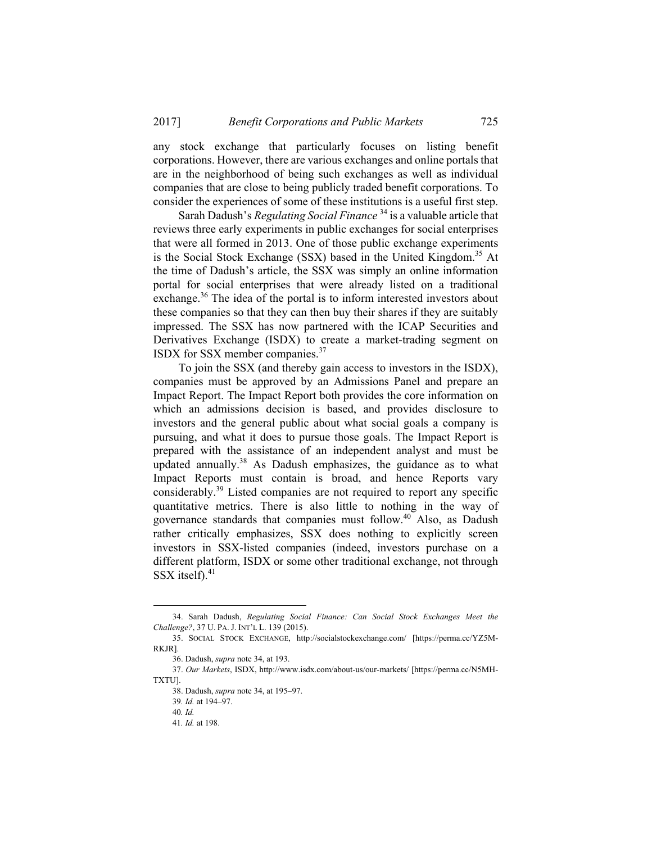any stock exchange that particularly focuses on listing benefit corporations. However, there are various exchanges and online portals that are in the neighborhood of being such exchanges as well as individual companies that are close to being publicly traded benefit corporations. To consider the experiences of some of these institutions is a useful first step.

Sarah Dadush's *Regulating Social Finance* <sup>34</sup> is a valuable article that reviews three early experiments in public exchanges for social enterprises that were all formed in 2013. One of those public exchange experiments is the Social Stock Exchange (SSX) based in the United Kingdom.<sup>35</sup> At the time of Dadush's article, the SSX was simply an online information portal for social enterprises that were already listed on a traditional exchange.<sup>36</sup> The idea of the portal is to inform interested investors about these companies so that they can then buy their shares if they are suitably impressed. The SSX has now partnered with the ICAP Securities and Derivatives Exchange (ISDX) to create a market-trading segment on ISDX for SSX member companies.<sup>37</sup>

To join the SSX (and thereby gain access to investors in the ISDX), companies must be approved by an Admissions Panel and prepare an Impact Report. The Impact Report both provides the core information on which an admissions decision is based, and provides disclosure to investors and the general public about what social goals a company is pursuing, and what it does to pursue those goals. The Impact Report is prepared with the assistance of an independent analyst and must be updated annually.<sup>38</sup> As Dadush emphasizes, the guidance as to what Impact Reports must contain is broad, and hence Reports vary considerably.39 Listed companies are not required to report any specific quantitative metrics. There is also little to nothing in the way of governance standards that companies must follow.40 Also, as Dadush rather critically emphasizes, SSX does nothing to explicitly screen investors in SSX-listed companies (indeed, investors purchase on a different platform, ISDX or some other traditional exchange, not through SSX itself).<sup>41</sup>

 <sup>34.</sup> Sarah Dadush, *Regulating Social Finance: Can Social Stock Exchanges Meet the Challenge?*, 37 U. PA. J. INT'L L. 139 (2015).

 <sup>35.</sup> SOCIAL STOCK EXCHANGE, http://socialstockexchange.com/ [https://perma.cc/YZ5M-RKJR].

 <sup>36.</sup> Dadush, *supra* note 34, at 193.

 <sup>37.</sup> *Our Markets*, ISDX, http://www.isdx.com/about-us/our-markets/ [https://perma.cc/N5MH-TXTU].

 <sup>38.</sup> Dadush, *supra* note 34, at 195–97.

<sup>39</sup>*. Id.* at 194–97.

<sup>40</sup>*. Id.*

<sup>41</sup>*. Id.* at 198.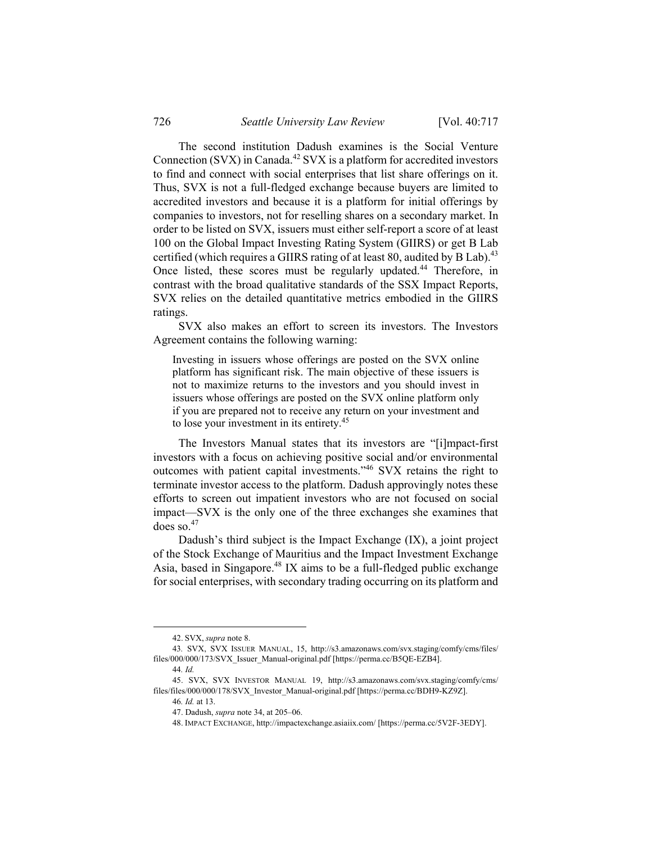The second institution Dadush examines is the Social Venture Connection (SVX) in Canada.<sup>42</sup> SVX is a platform for accredited investors to find and connect with social enterprises that list share offerings on it. Thus, SVX is not a full-fledged exchange because buyers are limited to accredited investors and because it is a platform for initial offerings by companies to investors, not for reselling shares on a secondary market. In order to be listed on SVX, issuers must either self-report a score of at least 100 on the Global Impact Investing Rating System (GIIRS) or get B Lab certified (which requires a GIIRS rating of at least 80, audited by B Lab).<sup>43</sup> Once listed, these scores must be regularly updated.<sup>44</sup> Therefore, in contrast with the broad qualitative standards of the SSX Impact Reports, SVX relies on the detailed quantitative metrics embodied in the GIIRS ratings.

SVX also makes an effort to screen its investors. The Investors Agreement contains the following warning:

Investing in issuers whose offerings are posted on the SVX online platform has significant risk. The main objective of these issuers is not to maximize returns to the investors and you should invest in issuers whose offerings are posted on the SVX online platform only if you are prepared not to receive any return on your investment and to lose your investment in its entirety.<sup>45</sup>

The Investors Manual states that its investors are "[i]mpact-first investors with a focus on achieving positive social and/or environmental outcomes with patient capital investments."46 SVX retains the right to terminate investor access to the platform. Dadush approvingly notes these efforts to screen out impatient investors who are not focused on social impact—SVX is the only one of the three exchanges she examines that does so. $47$ 

Dadush's third subject is the Impact Exchange (IX), a joint project of the Stock Exchange of Mauritius and the Impact Investment Exchange Asia, based in Singapore.<sup>48</sup> IX aims to be a full-fledged public exchange for social enterprises, with secondary trading occurring on its platform and

 <sup>42.</sup> SVX, *supra* note 8.

<sup>43</sup>*.* SVX, SVX ISSUER MANUAL, 15, http://s3.amazonaws.com/svx.staging/comfy/cms/files/ files/000/000/173/SVX\_Issuer\_Manual-original.pdf [https://perma.cc/B5QE-EZB4].

<sup>44</sup>*. Id.*

<sup>45.</sup> SVX, SVX INVESTOR MANUAL 19, http://s3.amazonaws.com/svx.staging/comfy/cms/ files/files/000/000/178/SVX\_Investor\_Manual-original.pdf [https://perma.cc/BDH9-KZ9Z].

<sup>46</sup>*. Id.* at 13.

 <sup>47.</sup> Dadush, *supra* note 34, at 205–06.

 <sup>48.</sup> IMPACT EXCHANGE, http://impactexchange.asiaiix.com/ [https://perma.cc/5V2F-3EDY].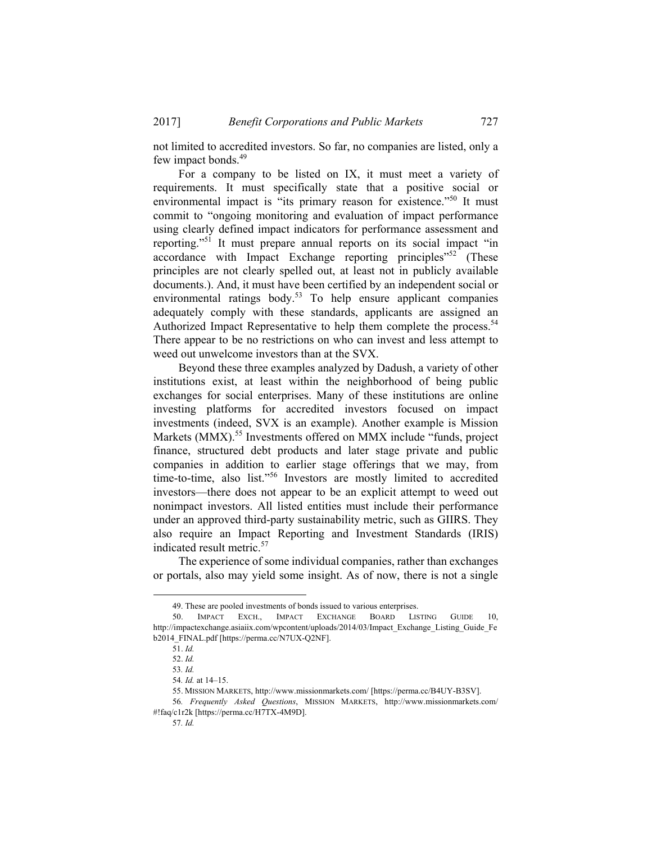not limited to accredited investors. So far, no companies are listed, only a few impact bonds.<sup>49</sup>

For a company to be listed on IX, it must meet a variety of requirements. It must specifically state that a positive social or environmental impact is "its primary reason for existence."<sup>50</sup> It must commit to "ongoing monitoring and evaluation of impact performance using clearly defined impact indicators for performance assessment and reporting."51 It must prepare annual reports on its social impact "in accordance with Impact Exchange reporting principles<sup>"52</sup> (These principles are not clearly spelled out, at least not in publicly available documents.). And, it must have been certified by an independent social or environmental ratings body.<sup>53</sup> To help ensure applicant companies adequately comply with these standards, applicants are assigned an Authorized Impact Representative to help them complete the process.<sup>54</sup> There appear to be no restrictions on who can invest and less attempt to weed out unwelcome investors than at the SVX.

Beyond these three examples analyzed by Dadush, a variety of other institutions exist, at least within the neighborhood of being public exchanges for social enterprises. Many of these institutions are online investing platforms for accredited investors focused on impact investments (indeed, SVX is an example). Another example is Mission Markets (MMX).<sup>55</sup> Investments offered on MMX include "funds, project finance, structured debt products and later stage private and public companies in addition to earlier stage offerings that we may, from time-to-time, also list."56 Investors are mostly limited to accredited investors—there does not appear to be an explicit attempt to weed out nonimpact investors. All listed entities must include their performance under an approved third-party sustainability metric, such as GIIRS. They also require an Impact Reporting and Investment Standards (IRIS) indicated result metric.<sup>57</sup>

The experience of some individual companies, rather than exchanges or portals, also may yield some insight. As of now, there is not a single

 <sup>49.</sup> These are pooled investments of bonds issued to various enterprises.

<sup>50.</sup> IMPACT EXCH., IMPACT EXCHANGE BOARD LISTING GUIDE 10, http://impactexchange.asiaiix.com/wpcontent/uploads/2014/03/Impact\_Exchange\_Listing\_Guide\_Fe b2014\_FINAL.pdf [https://perma.cc/N7UX-Q2NF].

<sup>51.</sup> *Id.* 

<sup>52.</sup> *Id.* 

<sup>53</sup>*. Id.* 

<sup>54</sup>*. Id.* at 14–15.

 <sup>55.</sup> MISSION MARKETS, http://www.missionmarkets.com/ [https://perma.cc/B4UY-B3SV].

<sup>56</sup>*. Frequently Asked Questions*, MISSION MARKETS, http://www.missionmarkets.com/ #!faq/c1r2k [https://perma.cc/H7TX-4M9D].

<sup>57</sup>*. Id.*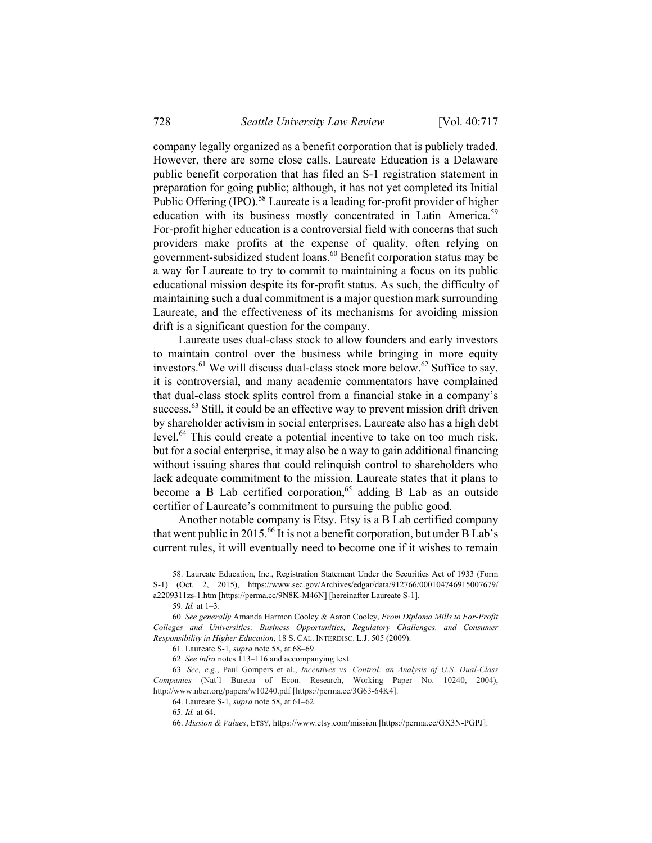company legally organized as a benefit corporation that is publicly traded. However, there are some close calls. Laureate Education is a Delaware public benefit corporation that has filed an S-1 registration statement in preparation for going public; although, it has not yet completed its Initial Public Offering (IPO).<sup>58</sup> Laureate is a leading for-profit provider of higher education with its business mostly concentrated in Latin America.<sup>59</sup> For-profit higher education is a controversial field with concerns that such providers make profits at the expense of quality, often relying on government-subsidized student loans.60 Benefit corporation status may be a way for Laureate to try to commit to maintaining a focus on its public educational mission despite its for-profit status. As such, the difficulty of maintaining such a dual commitment is a major question mark surrounding Laureate, and the effectiveness of its mechanisms for avoiding mission drift is a significant question for the company.

Laureate uses dual-class stock to allow founders and early investors to maintain control over the business while bringing in more equity investors.<sup>61</sup> We will discuss dual-class stock more below.<sup>62</sup> Suffice to say, it is controversial, and many academic commentators have complained that dual-class stock splits control from a financial stake in a company's success.<sup>63</sup> Still, it could be an effective way to prevent mission drift driven by shareholder activism in social enterprises. Laureate also has a high debt level.<sup>64</sup> This could create a potential incentive to take on too much risk, but for a social enterprise, it may also be a way to gain additional financing without issuing shares that could relinquish control to shareholders who lack adequate commitment to the mission. Laureate states that it plans to become a B Lab certified corporation,  $65$  adding B Lab as an outside certifier of Laureate's commitment to pursuing the public good.

Another notable company is Etsy. Etsy is a B Lab certified company that went public in 2015.<sup>66</sup> It is not a benefit corporation, but under B Lab's current rules, it will eventually need to become one if it wishes to remain

 <sup>58.</sup> Laureate Education, Inc., Registration Statement Under the Securities Act of 1933 (Form S-1) (Oct. 2, 2015), https://www.sec.gov/Archives/edgar/data/912766/000104746915007679/ a2209311zs-1.htm [https://perma.cc/9N8K-M46N] [hereinafter Laureate S-1].

<sup>59</sup>*. Id.* at 1–3.

<sup>60</sup>*. See generally* Amanda Harmon Cooley & Aaron Cooley, *From Diploma Mills to For-Profit Colleges and Universities: Business Opportunities, Regulatory Challenges, and Consumer Responsibility in Higher Education*, 18 S. CAL. INTERDISC. L.J. 505 (2009).

 <sup>61.</sup> Laureate S-1, *supra* note 58, at 68–69.

<sup>62</sup>*. See infra* notes 113–116 and accompanying text.

<sup>63</sup>*. See, e.g.*, Paul Gompers et al., *Incentives vs. Control: an Analysis of U.S. Dual-Class Companies* (Nat'l Bureau of Econ. Research, Working Paper No. 10240, 2004), http://www.nber.org/papers/w10240.pdf [https://perma.cc/3G63-64K4].

 <sup>64.</sup> Laureate S-1, *supra* note 58, at 61–62.

<sup>65</sup>*. Id.* at 64.

 <sup>66.</sup> *Mission & Values*, ETSY, https://www.etsy.com/mission [https://perma.cc/GX3N-PGPJ].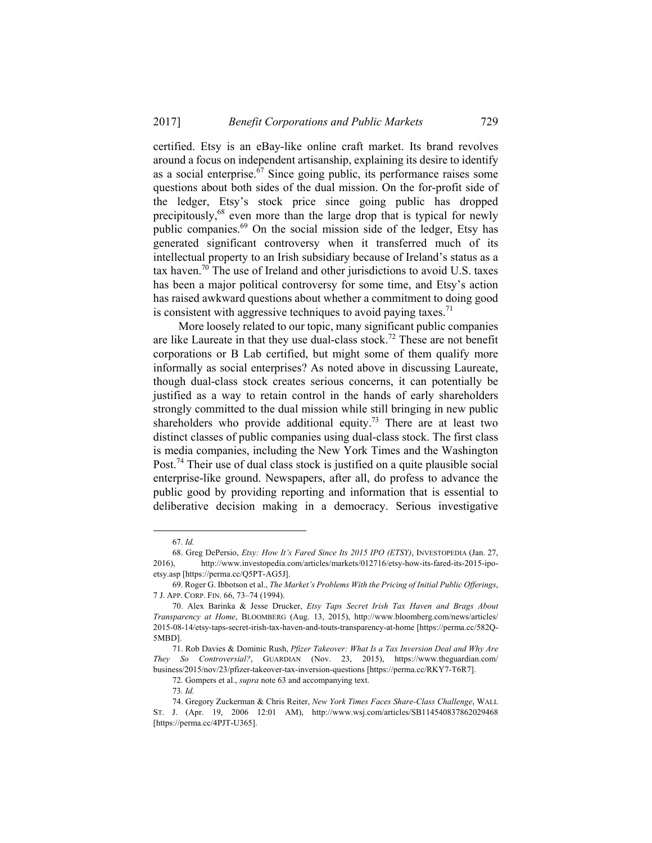certified. Etsy is an eBay-like online craft market. Its brand revolves around a focus on independent artisanship, explaining its desire to identify as a social enterprise.67 Since going public, its performance raises some questions about both sides of the dual mission. On the for-profit side of the ledger, Etsy's stock price since going public has dropped precipitously, $68$  even more than the large drop that is typical for newly public companies.69 On the social mission side of the ledger, Etsy has generated significant controversy when it transferred much of its intellectual property to an Irish subsidiary because of Ireland's status as a tax haven.<sup>70</sup> The use of Ireland and other jurisdictions to avoid U.S. taxes has been a major political controversy for some time, and Etsy's action has raised awkward questions about whether a commitment to doing good is consistent with aggressive techniques to avoid paying taxes.<sup>71</sup>

More loosely related to our topic, many significant public companies are like Laureate in that they use dual-class stock.<sup>72</sup> These are not benefit corporations or B Lab certified, but might some of them qualify more informally as social enterprises? As noted above in discussing Laureate, though dual-class stock creates serious concerns, it can potentially be justified as a way to retain control in the hands of early shareholders strongly committed to the dual mission while still bringing in new public shareholders who provide additional equity.<sup>73</sup> There are at least two distinct classes of public companies using dual-class stock. The first class is media companies, including the New York Times and the Washington Post.74 Their use of dual class stock is justified on a quite plausible social enterprise-like ground. Newspapers, after all, do profess to advance the public good by providing reporting and information that is essential to deliberative decision making in a democracy. Serious investigative

 <sup>67</sup>*. Id.*

 <sup>68.</sup> Greg DePersio, *Etsy: How It's Fared Since Its 2015 IPO (ETSY)*, INVESTOPEDIA (Jan. 27, 2016), http://www.investopedia.com/articles/markets/012716/etsy-how-its-fared-its-2015-ipoetsy.asp [https://perma.cc/Q5PT-AG5J].

 <sup>69.</sup> Roger G. Ibbotson et al., *The Market's Problems With the Pricing of Initial Public Offerings*, 7 J. APP. CORP. FIN. 66, 73–74 (1994).

 <sup>70.</sup> Alex Barinka & Jesse Drucker, *Etsy Taps Secret Irish Tax Haven and Brags About Transparency at Home*, BLOOMBERG (Aug. 13, 2015), http://www.bloomberg.com/news/articles/ 2015-08-14/etsy-taps-secret-irish-tax-haven-and-touts-transparency-at-home [https://perma.cc/582Q-5MBD].

 <sup>71.</sup> Rob Davies & Dominic Rush, *Pfizer Takeover: What Is a Tax Inversion Deal and Why Are They So Controversial?*, GUARDIAN (Nov. 23, 2015), https://www.theguardian.com/ business/2015/nov/23/pfizer-takeover-tax-inversion-questions [https://perma.cc/RKY7-T6R7].

<sup>72</sup>*.* Gompers et al., *supra* note 63 and accompanying text.

<sup>73</sup>*. Id.* 

 <sup>74.</sup> Gregory Zuckerman & Chris Reiter, *New York Times Faces Share-Class Challenge*, WALL ST. J. (Apr. 19, 2006 12:01 AM), http://www.wsj.com/articles/SB114540837862029468 [https://perma.cc/4PJT-U365].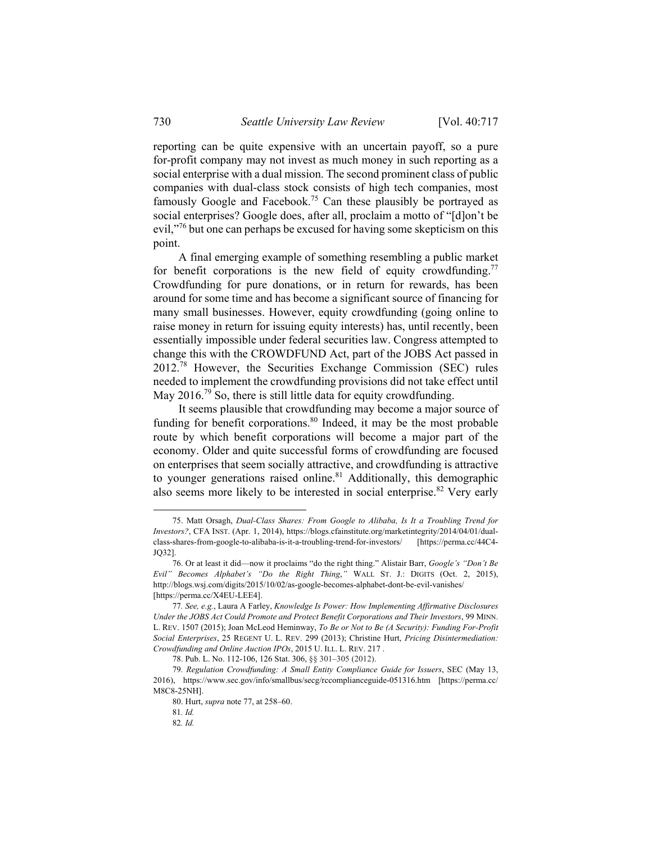reporting can be quite expensive with an uncertain payoff, so a pure for-profit company may not invest as much money in such reporting as a social enterprise with a dual mission. The second prominent class of public companies with dual-class stock consists of high tech companies, most famously Google and Facebook.<sup>75</sup> Can these plausibly be portrayed as social enterprises? Google does, after all, proclaim a motto of "[d]on't be evil,"<sup>76</sup> but one can perhaps be excused for having some skepticism on this point.

A final emerging example of something resembling a public market for benefit corporations is the new field of equity crowdfunding.<sup>77</sup> Crowdfunding for pure donations, or in return for rewards, has been around for some time and has become a significant source of financing for many small businesses. However, equity crowdfunding (going online to raise money in return for issuing equity interests) has, until recently, been essentially impossible under federal securities law. Congress attempted to change this with the CROWDFUND Act, part of the JOBS Act passed in 2012.78 However, the Securities Exchange Commission (SEC) rules needed to implement the crowdfunding provisions did not take effect until May 2016.<sup>79</sup> So, there is still little data for equity crowdfunding.

It seems plausible that crowdfunding may become a major source of funding for benefit corporations.<sup>80</sup> Indeed, it may be the most probable route by which benefit corporations will become a major part of the economy. Older and quite successful forms of crowdfunding are focused on enterprises that seem socially attractive, and crowdfunding is attractive to younger generations raised online.<sup>81</sup> Additionally, this demographic also seems more likely to be interested in social enterprise.<sup>82</sup> Very early

 <sup>75.</sup> Matt Orsagh, *Dual-Class Shares: From Google to Alibaba, Is It a Troubling Trend for Investors?*, CFA INST. (Apr. 1, 2014), https://blogs.cfainstitute.org/marketintegrity/2014/04/01/dualclass-shares-from-google-to-alibaba-is-it-a-troubling-trend-for-investors/ [https://perma.cc/44C4- JQ32].

 <sup>76.</sup> Or at least it did—now it proclaims "do the right thing." Alistair Barr, *Google's "Don't Be Evil" Becomes Alphabet's "Do the Right Thing*,*"* WALL ST. J.: DIGITS (Oct. 2, 2015), http://blogs.wsj.com/digits/2015/10/02/as-google-becomes-alphabet-dont-be-evil-vanishes/ [https://perma.cc/X4EU-LEE4].

<sup>77</sup>*. See, e.g.*, Laura A Farley, *Knowledge Is Power: How Implementing Affirmative Disclosures Under the JOBS Act Could Promote and Protect Benefit Corporations and Their Investors*, 99 MINN. L. REV. 1507 (2015); Joan McLeod Heminway, *To Be or Not to Be (A Security): Funding For-Profit Social Enterprises*, 25 REGENT U. L. REV. 299 (2013); Christine Hurt, *Pricing Disintermediation: Crowdfunding and Online Auction IPOs*, 2015 U. ILL. L. REV. 217 .

 <sup>78.</sup> Pub. L. No. 112-106, 126 Stat. 306, §§ 301–305 (2012).

<sup>79</sup>*. Regulation Crowdfunding: A Small Entity Compliance Guide for Issuers*, SEC (May 13, 2016), https://www.sec.gov/info/smallbus/secg/rccomplianceguide-051316.htm [https://perma.cc/ M8C8-25NH].

 <sup>80.</sup> Hurt, *supra* note 77, at 258–60.

<sup>81</sup>*. Id.* 

<sup>82</sup>*. Id.*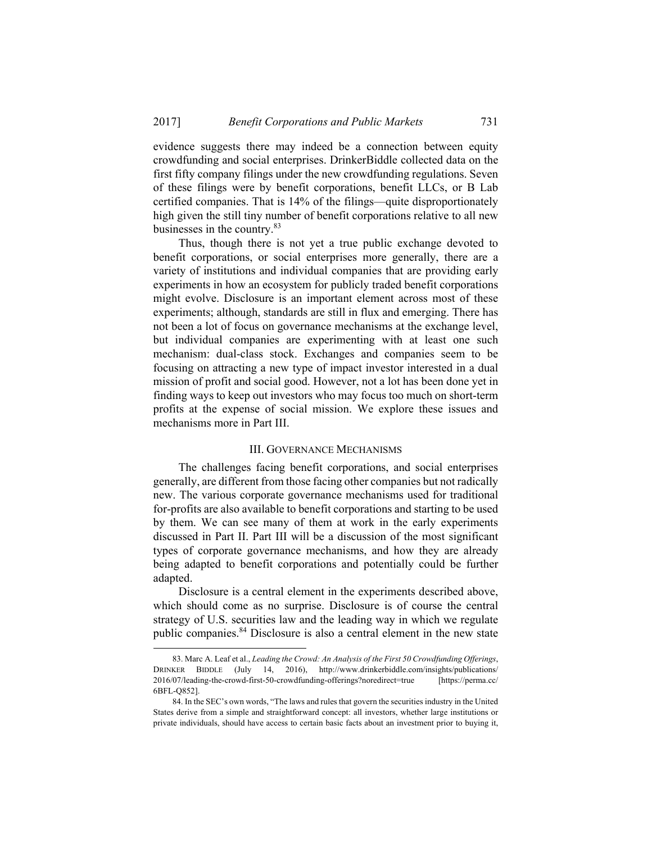evidence suggests there may indeed be a connection between equity crowdfunding and social enterprises. DrinkerBiddle collected data on the first fifty company filings under the new crowdfunding regulations. Seven of these filings were by benefit corporations, benefit LLCs, or B Lab certified companies. That is 14% of the filings—quite disproportionately high given the still tiny number of benefit corporations relative to all new businesses in the country.83

Thus, though there is not yet a true public exchange devoted to benefit corporations, or social enterprises more generally, there are a variety of institutions and individual companies that are providing early experiments in how an ecosystem for publicly traded benefit corporations might evolve. Disclosure is an important element across most of these experiments; although, standards are still in flux and emerging. There has not been a lot of focus on governance mechanisms at the exchange level, but individual companies are experimenting with at least one such mechanism: dual-class stock. Exchanges and companies seem to be focusing on attracting a new type of impact investor interested in a dual mission of profit and social good. However, not a lot has been done yet in finding ways to keep out investors who may focus too much on short-term profits at the expense of social mission. We explore these issues and mechanisms more in Part III.

#### III. GOVERNANCE MECHANISMS

The challenges facing benefit corporations, and social enterprises generally, are different from those facing other companies but not radically new. The various corporate governance mechanisms used for traditional for-profits are also available to benefit corporations and starting to be used by them. We can see many of them at work in the early experiments discussed in Part II. Part III will be a discussion of the most significant types of corporate governance mechanisms, and how they are already being adapted to benefit corporations and potentially could be further adapted.

Disclosure is a central element in the experiments described above, which should come as no surprise. Disclosure is of course the central strategy of U.S. securities law and the leading way in which we regulate public companies.84 Disclosure is also a central element in the new state

 <sup>83.</sup> Marc A. Leaf et al., *Leading the Crowd: An Analysis of the First 50 Crowdfunding Offerings*, DRINKER BIDDLE (July 14, 2016), http://www.drinkerbiddle.com/insights/publications/ 2016/07/leading-the-crowd-first-50-crowdfunding-offerings?noredirect=true [https://perma.cc/ 6BFL-Q852].

 <sup>84.</sup> In the SEC's own words, "The laws and rules that govern the securities industry in the United States derive from a simple and straightforward concept: all investors, whether large institutions or private individuals, should have access to certain basic facts about an investment prior to buying it,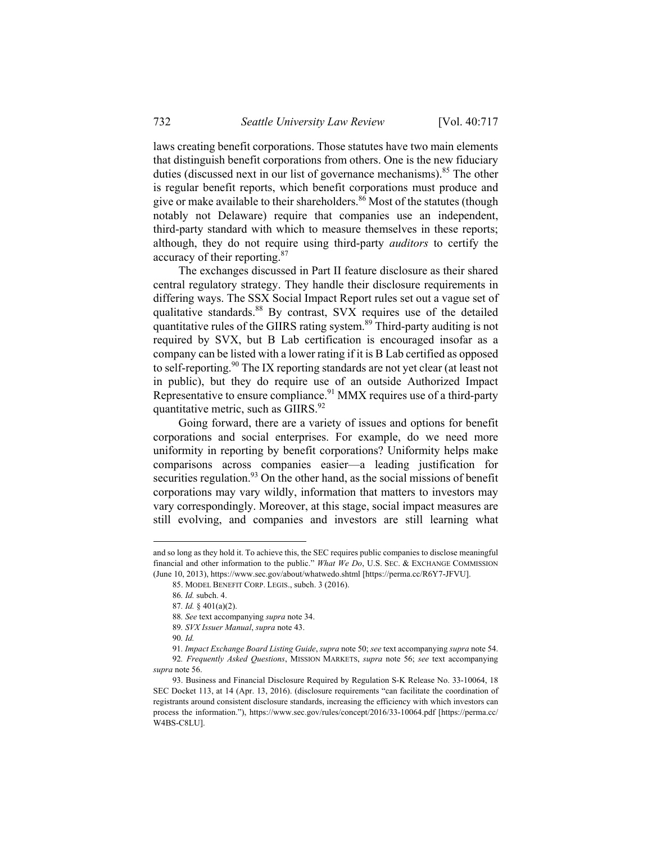laws creating benefit corporations. Those statutes have two main elements that distinguish benefit corporations from others. One is the new fiduciary duties (discussed next in our list of governance mechanisms).<sup>85</sup> The other is regular benefit reports, which benefit corporations must produce and give or make available to their shareholders.<sup>86</sup> Most of the statutes (though notably not Delaware) require that companies use an independent, third-party standard with which to measure themselves in these reports; although, they do not require using third-party *auditors* to certify the accuracy of their reporting.<sup>87</sup>

The exchanges discussed in Part II feature disclosure as their shared central regulatory strategy. They handle their disclosure requirements in differing ways. The SSX Social Impact Report rules set out a vague set of qualitative standards.<sup>88</sup> By contrast, SVX requires use of the detailed quantitative rules of the GIIRS rating system.<sup>89</sup> Third-party auditing is not required by SVX, but B Lab certification is encouraged insofar as a company can be listed with a lower rating if it is B Lab certified as opposed to self-reporting.<sup>90</sup> The IX reporting standards are not yet clear (at least not in public), but they do require use of an outside Authorized Impact Representative to ensure compliance.<sup>91</sup> MMX requires use of a third-party quantitative metric, such as GIIRS.<sup>92</sup>

Going forward, there are a variety of issues and options for benefit corporations and social enterprises. For example, do we need more uniformity in reporting by benefit corporations? Uniformity helps make comparisons across companies easier—a leading justification for securities regulation.<sup>93</sup> On the other hand, as the social missions of benefit corporations may vary wildly, information that matters to investors may vary correspondingly. Moreover, at this stage, social impact measures are still evolving, and companies and investors are still learning what

and so long as they hold it. To achieve this, the SEC requires public companies to disclose meaningful financial and other information to the public." *What We Do*, U.S. SEC. & EXCHANGE COMMISSION (June 10, 2013), https://www.sec.gov/about/whatwedo.shtml [https://perma.cc/R6Y7-JFVU].

 <sup>85.</sup> MODEL BENEFIT CORP. LEGIS., subch. 3 (2016).

<sup>86</sup>*. Id.* subch. 4.

<sup>87</sup>*. Id.* § 401(a)(2).

<sup>88</sup>*. See* text accompanying *supra* note 34.

<sup>89</sup>*. SVX Issuer Manual*, *supra* note 43.

<sup>90</sup>*. Id.*

<sup>91</sup>*. Impact Exchange Board Listing Guide*, *supra* note 50; *see* text accompanying *supra* note 54. 92*. Frequently Asked Questions*, MISSION MARKETS, *supra* note 56; *see* text accompanying *supra* note 56.

 <sup>93.</sup> Business and Financial Disclosure Required by Regulation S-K Release No. 33-10064, 18 SEC Docket 113, at 14 (Apr. 13, 2016). (disclosure requirements "can facilitate the coordination of registrants around consistent disclosure standards, increasing the efficiency with which investors can process the information."), https://www.sec.gov/rules/concept/2016/33-10064.pdf [https://perma.cc/ W4BS-C8LU].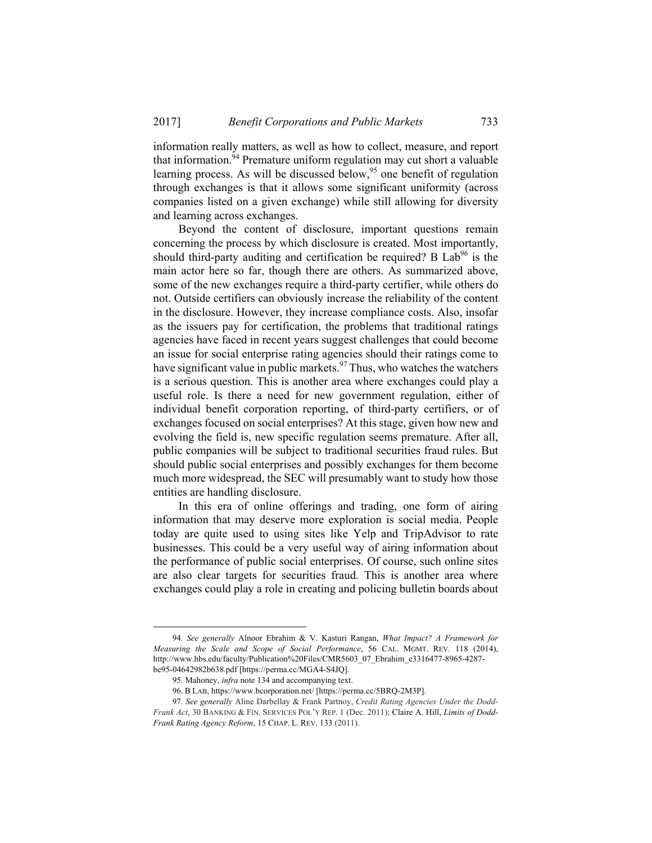information really matters, as well as how to collect, measure, and report that information.<sup>94</sup> Premature uniform regulation may cut short a valuable learning process. As will be discussed below,<sup>95</sup> one benefit of regulation through exchanges is that it allows some significant uniformity (across companies listed on a given exchange) while still allowing for diversity and learning across exchanges.

Beyond the content of disclosure, important questions remain concerning the process by which disclosure is created. Most importantly, should third-party auditing and certification be required? B  $Lab<sup>96</sup>$  is the main actor here so far, though there are others. As summarized above, some of the new exchanges require a third-party certifier, while others do not. Outside certifiers can obviously increase the reliability of the content in the disclosure. However, they increase compliance costs. Also, insofar as the issuers pay for certification, the problems that traditional ratings agencies have faced in recent years suggest challenges that could become an issue for social enterprise rating agencies should their ratings come to have significant value in public markets.<sup>97</sup> Thus, who watches the watchers is a serious question. This is another area where exchanges could play a useful role. Is there a need for new government regulation, either of individual benefit corporation reporting, of third-party certifiers, or of exchanges focused on social enterprises? At this stage, given how new and evolving the field is, new specific regulation seems premature. After all, public companies will be subject to traditional securities fraud rules. But should public social enterprises and possibly exchanges for them become much more widespread, the SEC will presumably want to study how those entities are handling disclosure.

In this era of online offerings and trading, one form of airing information that may deserve more exploration is social media. People today are quite used to using sites like Yelp and TripAdvisor to rate businesses. This could be a very useful way of airing information about the performance of public social enterprises. Of course, such online sites are also clear targets for securities fraud. This is another area where exchanges could play a role in creating and policing bulletin boards about

 <sup>94</sup>*. See generally* Alnoor Ebrahim & V. Kasturi Rangan, *What Impact? A Framework for Measuring the Scale and Scope of Social Performance*, 56 CAL. MGMT. REV. 118 (2014), http://www.hbs.edu/faculty/Publication%20Files/CMR5603\_07\_Ebrahim\_e3316477-8965-4287 be95-04642982b638.pdf [https://perma.cc/MGA4-S4JQ].

<sup>95</sup>*.* Mahoney, *infra* note 134 and accompanying text.

 <sup>96.</sup> B LAB, https://www.bcorporation.net/ [https://perma.cc/5BRQ-2M3P].

<sup>97</sup>*. See generally* Aline Darbellay & Frank Partnoy, *Credit Rating Agencies Under the Dodd-Frank Act*, 30 BANKING & FIN. SERVICES POL'Y REP. 1 (Dec. 2011); Claire A. Hill, *Limits of Dodd-Frank Rating Agency Reform*, 15 CHAP. L. REV. 133 (2011).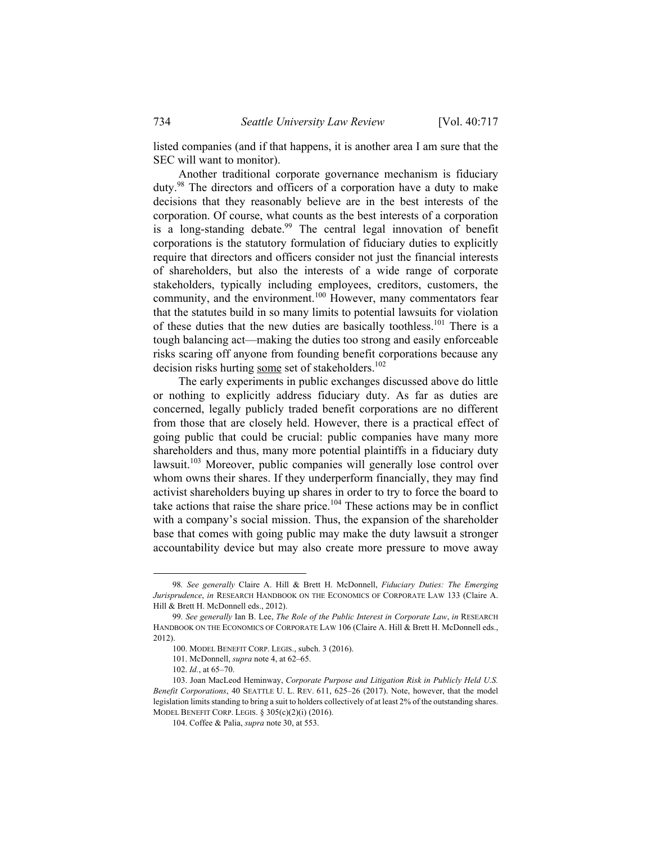listed companies (and if that happens, it is another area I am sure that the SEC will want to monitor).

Another traditional corporate governance mechanism is fiduciary duty.98 The directors and officers of a corporation have a duty to make decisions that they reasonably believe are in the best interests of the corporation. Of course, what counts as the best interests of a corporation is a long-standing debate.<sup>99</sup> The central legal innovation of benefit corporations is the statutory formulation of fiduciary duties to explicitly require that directors and officers consider not just the financial interests of shareholders, but also the interests of a wide range of corporate stakeholders, typically including employees, creditors, customers, the community, and the environment.<sup>100</sup> However, many commentators fear that the statutes build in so many limits to potential lawsuits for violation of these duties that the new duties are basically toothless.<sup>101</sup> There is a tough balancing act—making the duties too strong and easily enforceable risks scaring off anyone from founding benefit corporations because any decision risks hurting some set of stakeholders.<sup>102</sup>

The early experiments in public exchanges discussed above do little or nothing to explicitly address fiduciary duty. As far as duties are concerned, legally publicly traded benefit corporations are no different from those that are closely held. However, there is a practical effect of going public that could be crucial: public companies have many more shareholders and thus, many more potential plaintiffs in a fiduciary duty lawsuit.103 Moreover, public companies will generally lose control over whom owns their shares. If they underperform financially, they may find activist shareholders buying up shares in order to try to force the board to take actions that raise the share price.<sup>104</sup> These actions may be in conflict with a company's social mission. Thus, the expansion of the shareholder base that comes with going public may make the duty lawsuit a stronger accountability device but may also create more pressure to move away

 <sup>98</sup>*. See generally* Claire A. Hill & Brett H. McDonnell, *Fiduciary Duties: The Emerging Jurisprudence*, *in* RESEARCH HANDBOOK ON THE ECONOMICS OF CORPORATE LAW 133 (Claire A. Hill & Brett H. McDonnell eds., 2012).

<sup>99</sup>*. See generally* Ian B. Lee, *The Role of the Public Interest in Corporate Law*, *in* RESEARCH HANDBOOK ON THE ECONOMICS OF CORPORATE LAW 106 (Claire A. Hill & Brett H. McDonnell eds., 2012).

 <sup>100.</sup> MODEL BENEFIT CORP. LEGIS., subch. 3 (2016).

 <sup>101.</sup> McDonnell, *supra* note 4, at 62–65.

 <sup>102.</sup> *Id.*, at 65–70.

 <sup>103.</sup> Joan MacLeod Heminway, *Corporate Purpose and Litigation Risk in Publicly Held U.S. Benefit Corporations*, 40 SEATTLE U. L. REV. 611, 625–26 (2017). Note, however, that the model legislation limits standing to bring a suit to holders collectively of at least 2% of the outstanding shares. MODEL BENEFIT CORP. LEGIS. § 305(c)(2)(i) (2016).

 <sup>104.</sup> Coffee & Palia, *supra* note 30, at 553.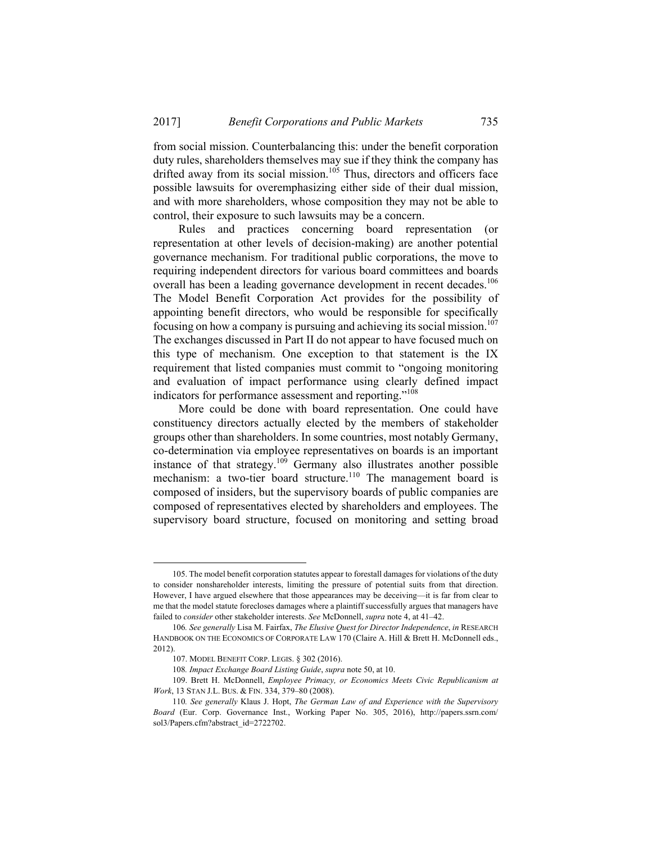from social mission. Counterbalancing this: under the benefit corporation duty rules, shareholders themselves may sue if they think the company has drifted away from its social mission.<sup>105</sup> Thus, directors and officers face possible lawsuits for overemphasizing either side of their dual mission, and with more shareholders, whose composition they may not be able to control, their exposure to such lawsuits may be a concern.

Rules and practices concerning board representation (or representation at other levels of decision-making) are another potential governance mechanism. For traditional public corporations, the move to requiring independent directors for various board committees and boards overall has been a leading governance development in recent decades.<sup>106</sup> The Model Benefit Corporation Act provides for the possibility of appointing benefit directors, who would be responsible for specifically focusing on how a company is pursuing and achieving its social mission.<sup>107</sup> The exchanges discussed in Part II do not appear to have focused much on this type of mechanism. One exception to that statement is the IX requirement that listed companies must commit to "ongoing monitoring and evaluation of impact performance using clearly defined impact indicators for performance assessment and reporting."<sup>108</sup>

More could be done with board representation. One could have constituency directors actually elected by the members of stakeholder groups other than shareholders. In some countries, most notably Germany, co-determination via employee representatives on boards is an important instance of that strategy.<sup>109</sup> Germany also illustrates another possible mechanism: a two-tier board structure.<sup>110</sup> The management board is composed of insiders, but the supervisory boards of public companies are composed of representatives elected by shareholders and employees. The supervisory board structure, focused on monitoring and setting broad

 <sup>105.</sup> The model benefit corporation statutes appear to forestall damages for violations of the duty to consider nonshareholder interests, limiting the pressure of potential suits from that direction. However, I have argued elsewhere that those appearances may be deceiving—it is far from clear to me that the model statute forecloses damages where a plaintiff successfully argues that managers have failed to *consider* other stakeholder interests. *See* McDonnell, *supra* note 4, at 41–42.

<sup>106</sup>*. See generally* Lisa M. Fairfax, *The Elusive Quest for Director Independence*, *in* RESEARCH HANDBOOK ON THE ECONOMICS OF CORPORATE LAW 170 (Claire A. Hill & Brett H. McDonnell eds., 2012).

 <sup>107.</sup> MODEL BENEFIT CORP. LEGIS. § 302 (2016).

<sup>108</sup>*. Impact Exchange Board Listing Guide*, *supra* note 50, at 10.

 <sup>109.</sup> Brett H. McDonnell, *Employee Primacy, or Economics Meets Civic Republicanism at Work*, 13 STAN J.L. BUS. & FIN. 334, 379–80 (2008).

<sup>110</sup>*. See generally* Klaus J. Hopt, *The German Law of and Experience with the Supervisory Board* (Eur. Corp. Governance Inst., Working Paper No. 305, 2016), http://papers.ssrn.com/ sol3/Papers.cfm?abstract\_id=2722702.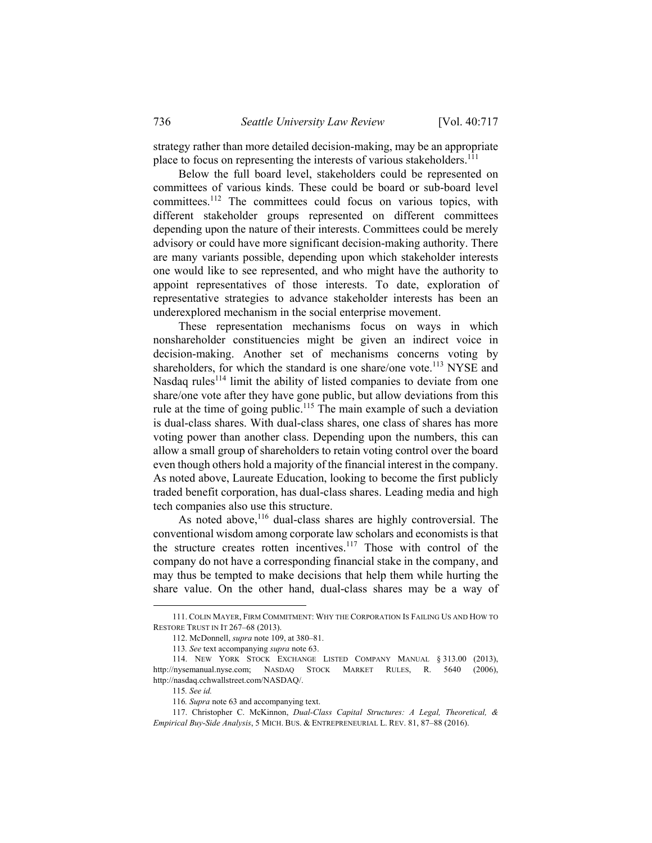strategy rather than more detailed decision-making, may be an appropriate place to focus on representing the interests of various stakeholders.<sup>111</sup>

Below the full board level, stakeholders could be represented on committees of various kinds. These could be board or sub-board level committees.112 The committees could focus on various topics, with different stakeholder groups represented on different committees depending upon the nature of their interests. Committees could be merely advisory or could have more significant decision-making authority. There are many variants possible, depending upon which stakeholder interests one would like to see represented, and who might have the authority to appoint representatives of those interests. To date, exploration of representative strategies to advance stakeholder interests has been an underexplored mechanism in the social enterprise movement.

These representation mechanisms focus on ways in which nonshareholder constituencies might be given an indirect voice in decision-making. Another set of mechanisms concerns voting by shareholders, for which the standard is one share/one vote.<sup>113</sup> NYSE and Nasdaq rules<sup>114</sup> limit the ability of listed companies to deviate from one share/one vote after they have gone public, but allow deviations from this rule at the time of going public.<sup>115</sup> The main example of such a deviation is dual-class shares. With dual-class shares, one class of shares has more voting power than another class. Depending upon the numbers, this can allow a small group of shareholders to retain voting control over the board even though others hold a majority of the financial interest in the company. As noted above, Laureate Education, looking to become the first publicly traded benefit corporation, has dual-class shares. Leading media and high tech companies also use this structure.

As noted above, $116$  dual-class shares are highly controversial. The conventional wisdom among corporate law scholars and economists is that the structure creates rotten incentives.<sup>117</sup> Those with control of the company do not have a corresponding financial stake in the company, and may thus be tempted to make decisions that help them while hurting the share value. On the other hand, dual-class shares may be a way of

 <sup>111.</sup> COLIN MAYER, FIRM COMMITMENT: WHY THE CORPORATION IS FAILING US AND HOW TO RESTORE TRUST IN IT 267–68 (2013).

 <sup>112.</sup> McDonnell, *supra* note 109, at 380–81.

<sup>113</sup>*. See* text accompanying *supra* note 63.

 <sup>114.</sup> NEW YORK STOCK EXCHANGE LISTED COMPANY MANUAL § 313.00 (2013), http://nysemanual.nyse.com; NASDAQ STOCK MARKET RULES, R. 5640 (2006), http://nasdaq.cchwallstreet.com/NASDAQ/.

<sup>115</sup>*. See id.* 

<sup>116</sup>*. Supra* note 63 and accompanying text.

 <sup>117.</sup> Christopher C. McKinnon, *Dual-Class Capital Structures: A Legal, Theoretical, & Empirical Buy-Side Analysis*, 5 MICH. BUS. & ENTREPRENEURIAL L. REV. 81, 87–88 (2016).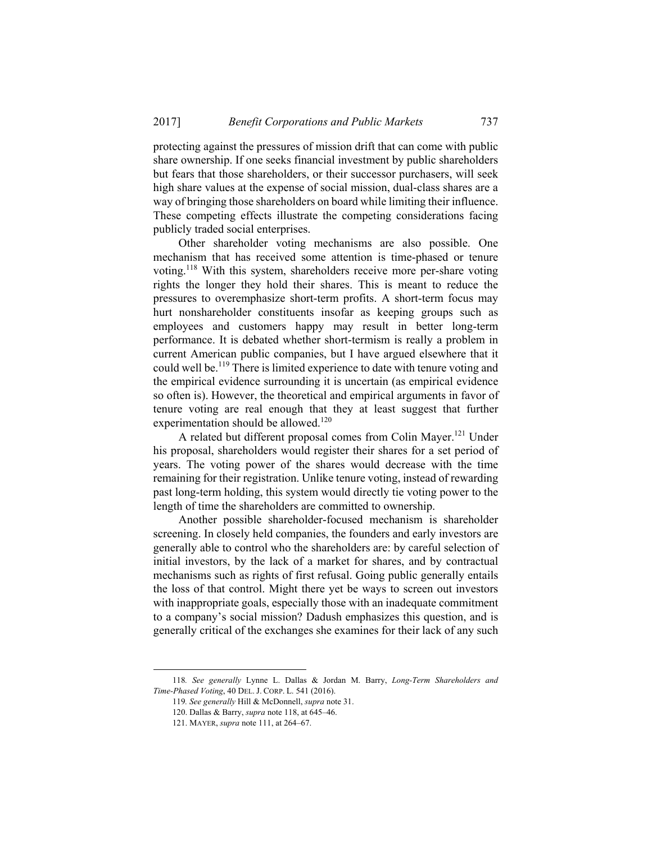protecting against the pressures of mission drift that can come with public share ownership. If one seeks financial investment by public shareholders but fears that those shareholders, or their successor purchasers, will seek high share values at the expense of social mission, dual-class shares are a way of bringing those shareholders on board while limiting their influence. These competing effects illustrate the competing considerations facing publicly traded social enterprises.

Other shareholder voting mechanisms are also possible. One mechanism that has received some attention is time-phased or tenure voting.118 With this system, shareholders receive more per-share voting rights the longer they hold their shares. This is meant to reduce the pressures to overemphasize short-term profits. A short-term focus may hurt nonshareholder constituents insofar as keeping groups such as employees and customers happy may result in better long-term performance. It is debated whether short-termism is really a problem in current American public companies, but I have argued elsewhere that it could well be.119 There is limited experience to date with tenure voting and the empirical evidence surrounding it is uncertain (as empirical evidence so often is). However, the theoretical and empirical arguments in favor of tenure voting are real enough that they at least suggest that further experimentation should be allowed.<sup>120</sup>

A related but different proposal comes from Colin Mayer.121 Under his proposal, shareholders would register their shares for a set period of years. The voting power of the shares would decrease with the time remaining for their registration. Unlike tenure voting, instead of rewarding past long-term holding, this system would directly tie voting power to the length of time the shareholders are committed to ownership.

Another possible shareholder-focused mechanism is shareholder screening. In closely held companies, the founders and early investors are generally able to control who the shareholders are: by careful selection of initial investors, by the lack of a market for shares, and by contractual mechanisms such as rights of first refusal. Going public generally entails the loss of that control. Might there yet be ways to screen out investors with inappropriate goals, especially those with an inadequate commitment to a company's social mission? Dadush emphasizes this question, and is generally critical of the exchanges she examines for their lack of any such

 <sup>118</sup>*. See generally* Lynne L. Dallas & Jordan M. Barry, *Long-Term Shareholders and Time-Phased Voting*, 40 DEL. J. CORP. L. 541 (2016).

<sup>119</sup>*. See generally* Hill & McDonnell, *supra* note 31.

 <sup>120.</sup> Dallas & Barry, *supra* note 118, at 645–46.

 <sup>121.</sup> MAYER, *supra* note 111, at 264–67.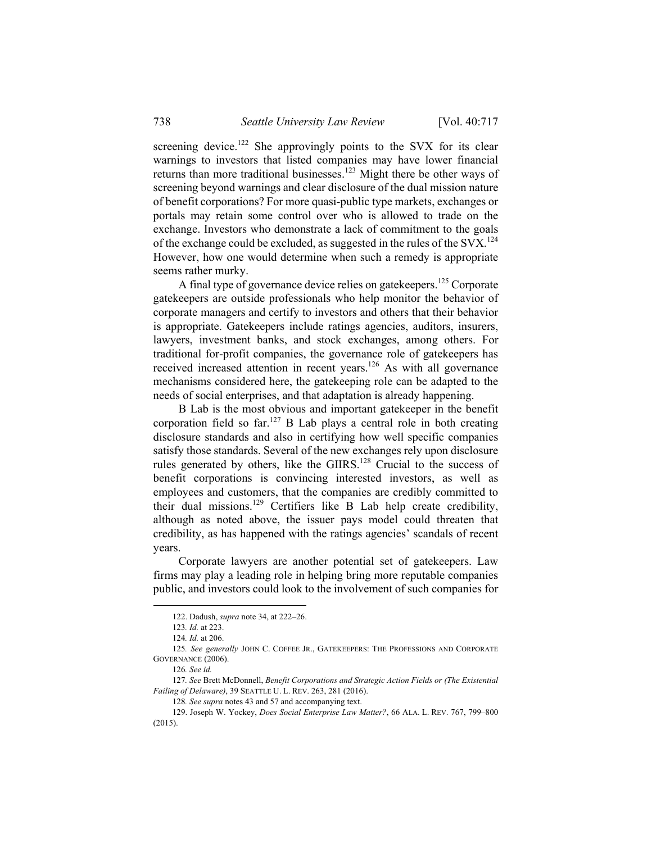screening device.<sup>122</sup> She approvingly points to the SVX for its clear warnings to investors that listed companies may have lower financial returns than more traditional businesses.123 Might there be other ways of screening beyond warnings and clear disclosure of the dual mission nature of benefit corporations? For more quasi-public type markets, exchanges or portals may retain some control over who is allowed to trade on the exchange. Investors who demonstrate a lack of commitment to the goals of the exchange could be excluded, as suggested in the rules of the SVX.<sup>124</sup> However, how one would determine when such a remedy is appropriate seems rather murky.

A final type of governance device relies on gatekeepers.<sup>125</sup> Corporate gatekeepers are outside professionals who help monitor the behavior of corporate managers and certify to investors and others that their behavior is appropriate. Gatekeepers include ratings agencies, auditors, insurers, lawyers, investment banks, and stock exchanges, among others. For traditional for-profit companies, the governance role of gatekeepers has received increased attention in recent years.<sup>126</sup> As with all governance mechanisms considered here, the gatekeeping role can be adapted to the needs of social enterprises, and that adaptation is already happening.

B Lab is the most obvious and important gatekeeper in the benefit corporation field so far.<sup>127</sup> B Lab plays a central role in both creating disclosure standards and also in certifying how well specific companies satisfy those standards. Several of the new exchanges rely upon disclosure rules generated by others, like the GIIRS.<sup>128</sup> Crucial to the success of benefit corporations is convincing interested investors, as well as employees and customers, that the companies are credibly committed to their dual missions.<sup>129</sup> Certifiers like B Lab help create credibility, although as noted above, the issuer pays model could threaten that credibility, as has happened with the ratings agencies' scandals of recent years.

Corporate lawyers are another potential set of gatekeepers. Law firms may play a leading role in helping bring more reputable companies public, and investors could look to the involvement of such companies for

 <sup>122.</sup> Dadush, *supra* note 34, at 222–26.

<sup>123</sup>*. Id.* at 223.

<sup>124</sup>*. Id.* at 206.

<sup>125</sup>*. See generally* JOHN C. COFFEE JR., GATEKEEPERS: THE PROFESSIONS AND CORPORATE GOVERNANCE (2006).

<sup>126</sup>*. See id.* 

<sup>127</sup>*. See* Brett McDonnell, *Benefit Corporations and Strategic Action Fields or (The Existential Failing of Delaware)*, 39 SEATTLE U. L. REV. 263, 281 (2016).

<sup>128</sup>*. See supra* notes 43 and 57 and accompanying text.

 <sup>129.</sup> Joseph W. Yockey, *Does Social Enterprise Law Matter?*, 66 ALA. L. REV. 767, 799–800 (2015).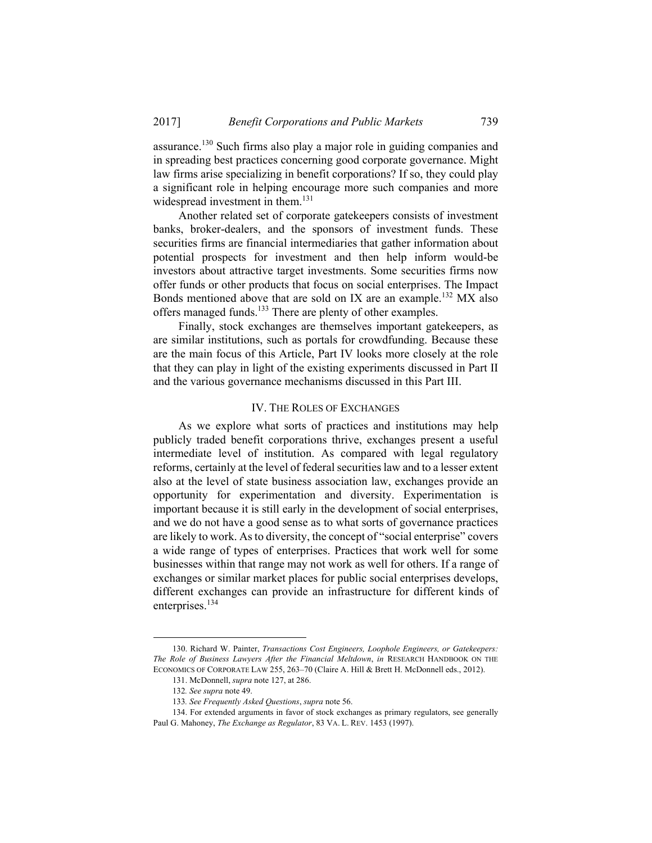assurance.130 Such firms also play a major role in guiding companies and in spreading best practices concerning good corporate governance. Might law firms arise specializing in benefit corporations? If so, they could play a significant role in helping encourage more such companies and more widespread investment in them.<sup>131</sup>

Another related set of corporate gatekeepers consists of investment banks, broker-dealers, and the sponsors of investment funds. These securities firms are financial intermediaries that gather information about potential prospects for investment and then help inform would-be investors about attractive target investments. Some securities firms now offer funds or other products that focus on social enterprises. The Impact Bonds mentioned above that are sold on IX are an example.<sup>132</sup> MX also offers managed funds.133 There are plenty of other examples.

Finally, stock exchanges are themselves important gatekeepers, as are similar institutions, such as portals for crowdfunding. Because these are the main focus of this Article, Part IV looks more closely at the role that they can play in light of the existing experiments discussed in Part II and the various governance mechanisms discussed in this Part III.

#### IV. THE ROLES OF EXCHANGES

As we explore what sorts of practices and institutions may help publicly traded benefit corporations thrive, exchanges present a useful intermediate level of institution. As compared with legal regulatory reforms, certainly at the level of federal securities law and to a lesser extent also at the level of state business association law, exchanges provide an opportunity for experimentation and diversity. Experimentation is important because it is still early in the development of social enterprises, and we do not have a good sense as to what sorts of governance practices are likely to work. As to diversity, the concept of "social enterprise" covers a wide range of types of enterprises. Practices that work well for some businesses within that range may not work as well for others. If a range of exchanges or similar market places for public social enterprises develops, different exchanges can provide an infrastructure for different kinds of enterprises.<sup>134</sup>

 <sup>130.</sup> Richard W. Painter, *Transactions Cost Engineers, Loophole Engineers, or Gatekeepers: The Role of Business Lawyers After the Financial Meltdown*, *in* RESEARCH HANDBOOK ON THE ECONOMICS OF CORPORATE LAW 255, 263–70 (Claire A. Hill & Brett H. McDonnell eds., 2012).

 <sup>131.</sup> McDonnell, *supra* note 127, at 286.

<sup>132</sup>*. See supra* note 49.

<sup>133</sup>*. See Frequently Asked Questions*, *supra* note 56.

 <sup>134.</sup> For extended arguments in favor of stock exchanges as primary regulators, see generally Paul G. Mahoney, *The Exchange as Regulator*, 83 VA. L. REV. 1453 (1997).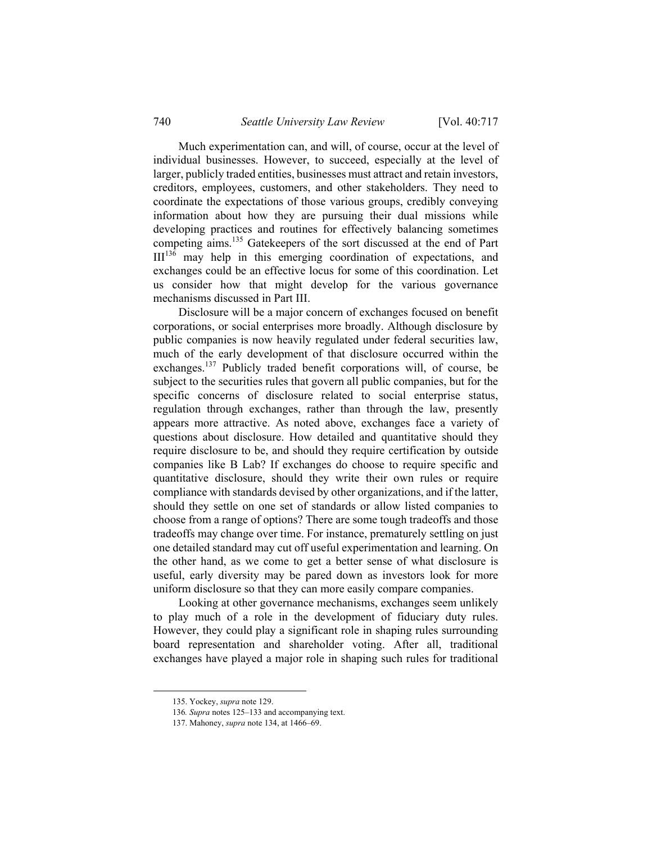Much experimentation can, and will, of course, occur at the level of individual businesses. However, to succeed, especially at the level of larger, publicly traded entities, businesses must attract and retain investors, creditors, employees, customers, and other stakeholders. They need to coordinate the expectations of those various groups, credibly conveying information about how they are pursuing their dual missions while developing practices and routines for effectively balancing sometimes competing aims.135 Gatekeepers of the sort discussed at the end of Part  $III<sup>136</sup>$  may help in this emerging coordination of expectations, and exchanges could be an effective locus for some of this coordination. Let us consider how that might develop for the various governance mechanisms discussed in Part III.

Disclosure will be a major concern of exchanges focused on benefit corporations, or social enterprises more broadly. Although disclosure by public companies is now heavily regulated under federal securities law, much of the early development of that disclosure occurred within the exchanges.137 Publicly traded benefit corporations will, of course, be subject to the securities rules that govern all public companies, but for the specific concerns of disclosure related to social enterprise status, regulation through exchanges, rather than through the law, presently appears more attractive. As noted above, exchanges face a variety of questions about disclosure. How detailed and quantitative should they require disclosure to be, and should they require certification by outside companies like B Lab? If exchanges do choose to require specific and quantitative disclosure, should they write their own rules or require compliance with standards devised by other organizations, and if the latter, should they settle on one set of standards or allow listed companies to choose from a range of options? There are some tough tradeoffs and those tradeoffs may change over time. For instance, prematurely settling on just one detailed standard may cut off useful experimentation and learning. On the other hand, as we come to get a better sense of what disclosure is useful, early diversity may be pared down as investors look for more uniform disclosure so that they can more easily compare companies.

Looking at other governance mechanisms, exchanges seem unlikely to play much of a role in the development of fiduciary duty rules. However, they could play a significant role in shaping rules surrounding board representation and shareholder voting. After all, traditional exchanges have played a major role in shaping such rules for traditional

 <sup>135.</sup> Yockey, *supra* note 129.

<sup>136</sup>*. Supra* notes 125–133 and accompanying text.

 <sup>137.</sup> Mahoney, *supra* note 134, at 1466–69.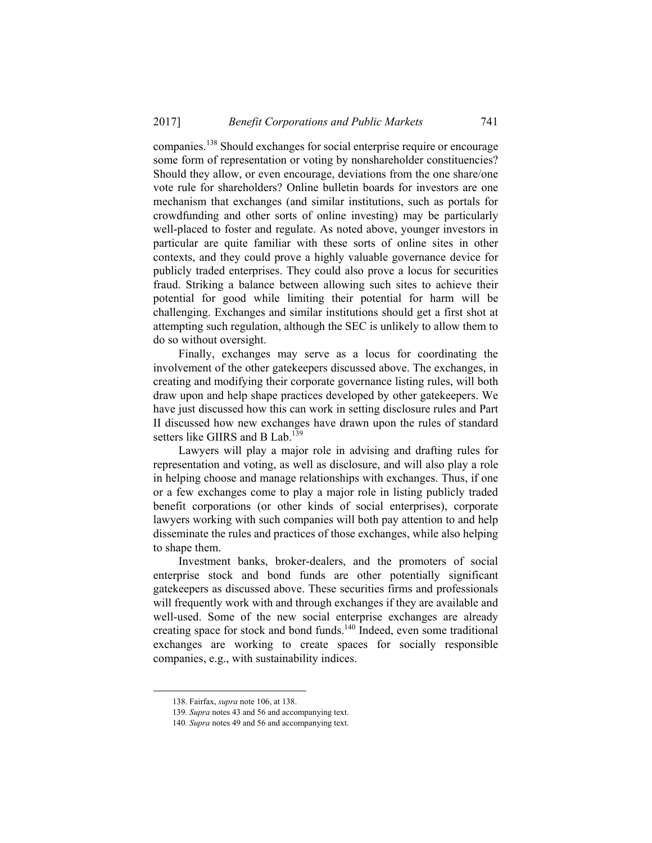companies.138 Should exchanges for social enterprise require or encourage some form of representation or voting by nonshareholder constituencies? Should they allow, or even encourage, deviations from the one share/one vote rule for shareholders? Online bulletin boards for investors are one mechanism that exchanges (and similar institutions, such as portals for crowdfunding and other sorts of online investing) may be particularly well-placed to foster and regulate. As noted above, younger investors in particular are quite familiar with these sorts of online sites in other contexts, and they could prove a highly valuable governance device for publicly traded enterprises. They could also prove a locus for securities fraud. Striking a balance between allowing such sites to achieve their potential for good while limiting their potential for harm will be challenging. Exchanges and similar institutions should get a first shot at attempting such regulation, although the SEC is unlikely to allow them to do so without oversight.

Finally, exchanges may serve as a locus for coordinating the involvement of the other gatekeepers discussed above. The exchanges, in creating and modifying their corporate governance listing rules, will both draw upon and help shape practices developed by other gatekeepers. We have just discussed how this can work in setting disclosure rules and Part II discussed how new exchanges have drawn upon the rules of standard setters like GIIRS and B Lab.<sup>139</sup>

Lawyers will play a major role in advising and drafting rules for representation and voting, as well as disclosure, and will also play a role in helping choose and manage relationships with exchanges. Thus, if one or a few exchanges come to play a major role in listing publicly traded benefit corporations (or other kinds of social enterprises), corporate lawyers working with such companies will both pay attention to and help disseminate the rules and practices of those exchanges, while also helping to shape them.

Investment banks, broker-dealers, and the promoters of social enterprise stock and bond funds are other potentially significant gatekeepers as discussed above. These securities firms and professionals will frequently work with and through exchanges if they are available and well-used. Some of the new social enterprise exchanges are already creating space for stock and bond funds.<sup>140</sup> Indeed, even some traditional exchanges are working to create spaces for socially responsible companies, e.g., with sustainability indices.

 <sup>138.</sup> Fairfax, *supra* note 106, at 138.

<sup>139</sup>*. Supra* notes 43 and 56 and accompanying text.

<sup>140</sup>*. Supra* notes 49 and 56 and accompanying text.